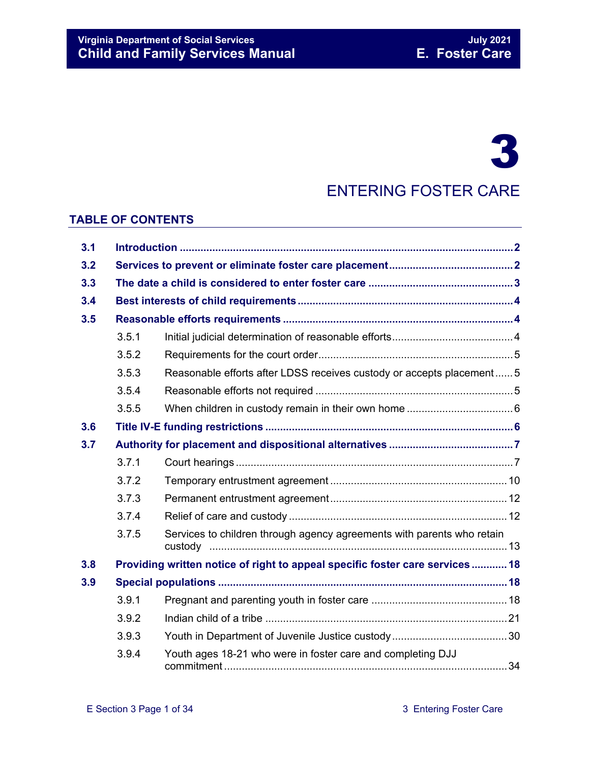# 3

## ENTERING FOSTER CARE

#### **TABLE OF CONTENTS**

| 3.1 |       |                                                                              |  |
|-----|-------|------------------------------------------------------------------------------|--|
| 3.2 |       |                                                                              |  |
| 3.3 |       |                                                                              |  |
| 3.4 |       |                                                                              |  |
| 3.5 |       |                                                                              |  |
|     | 3.5.1 |                                                                              |  |
|     | 3.5.2 |                                                                              |  |
|     | 3.5.3 | Reasonable efforts after LDSS receives custody or accepts placement5         |  |
|     | 3.5.4 |                                                                              |  |
|     | 3.5.5 |                                                                              |  |
| 3.6 |       |                                                                              |  |
| 3.7 |       |                                                                              |  |
|     | 3.7.1 |                                                                              |  |
|     | 3.7.2 |                                                                              |  |
|     | 3.7.3 |                                                                              |  |
|     | 3.7.4 |                                                                              |  |
|     | 3.7.5 | Services to children through agency agreements with parents who retain       |  |
| 3.8 |       | Providing written notice of right to appeal specific foster care services 18 |  |
| 3.9 |       |                                                                              |  |
|     | 3.9.1 |                                                                              |  |
|     | 3.9.2 |                                                                              |  |
|     | 3.9.3 |                                                                              |  |
|     | 3.9.4 | Youth ages 18-21 who were in foster care and completing DJJ                  |  |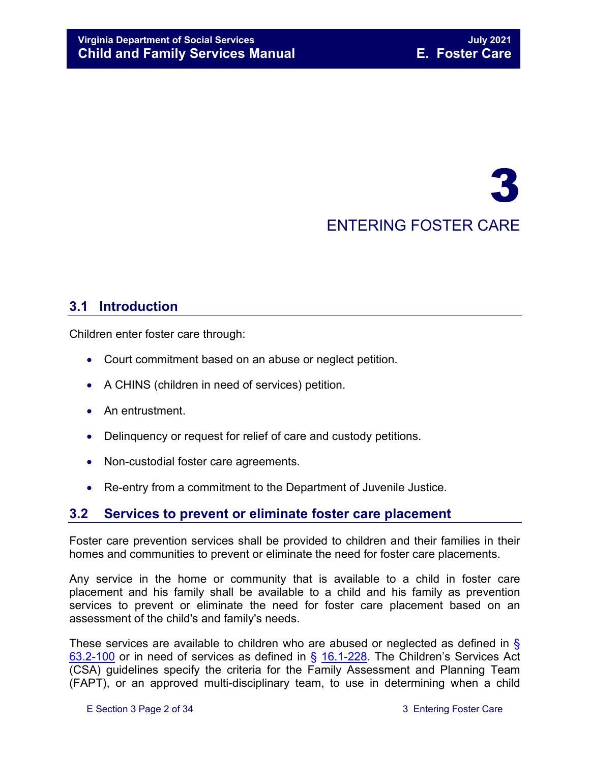## 3 ENTERING FOSTER CARE

## <span id="page-1-0"></span>**3.1 Introduction**

Children enter foster care through:

- Court commitment based on an abuse or neglect petition.
- A CHINS (children in need of services) petition.
- An entrustment.
- Delinquency or request for relief of care and custody petitions.
- Non-custodial foster care agreements.
- Re-entry from a commitment to the Department of Juvenile Justice.

## <span id="page-1-1"></span>**3.2 Services to prevent or eliminate foster care placement**

Foster care prevention services shall be provided to children and their families in their homes and communities to prevent or eliminate the need for foster care placements.

Any service in the home or community that is available to a child in foster care placement and his family shall be available to a child and his family as prevention services to prevent or eliminate the need for foster care placement based on an assessment of the child's and family's needs.

These services are available to children who are abused or neglected as defined in § [63.2-100](https://law.lis.virginia.gov/vacode/63.2-100/) or in need of services as defined in § [16.1-228.](https://law.lis.virginia.gov/vacode/16.1-228/) The Children's Services Act (CSA) guidelines specify the criteria for the Family Assessment and Planning Team (FAPT), or an approved multi-disciplinary team, to use in determining when a child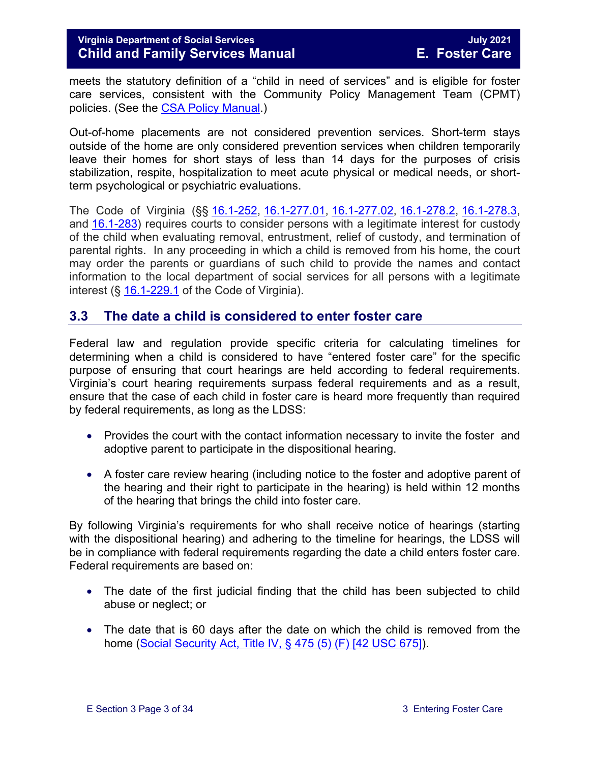meets the statutory definition of a "child in need of services" and is eligible for foster care services, consistent with the Community Policy Management Team (CPMT) policies. (See the [CSA Policy Manual.](http://www.csa.virginia.gov/CSAManual.cfm))

Out-of-home placements are not considered prevention services. Short-term stays outside of the home are only considered prevention services when children temporarily leave their homes for short stays of less than 14 days for the purposes of crisis stabilization, respite, hospitalization to meet acute physical or medical needs, or shortterm psychological or psychiatric evaluations.

The Code of Virginia (§§ [16.1-252,](https://law.lis.virginia.gov/vacode/title16.1/chapter11/section16.1-252/) [16.1-277.01,](https://law.lis.virginia.gov/vacode/title16.1/chapter11/section16.1-277.01/) [16.1-277.02,](https://law.lis.virginia.gov/vacode/title16.1/chapter11/section16.1-277.02/) [16.1-278.2,](https://law.lis.virginia.gov/vacode/title16.1/chapter11/section16.1-278.2/) [16.1-278.3,](https://law.lis.virginia.gov/vacode/title16.1/chapter11/section16.1-278.3/) and [16.1-283\)](https://law.lis.virginia.gov/vacode/title16.1/chapter11/section16.1-283/) requires courts to consider persons with a legitimate interest for custody of the child when evaluating removal, entrustment, relief of custody, and termination of parental rights. In any proceeding in which a child is removed from his home, the court may order the parents or guardians of such child to provide the names and contact information to the local department of social services for all persons with a legitimate interest (§ [16.1-229.1](https://law.lis.virginia.gov/vacode/title16.1/) of the Code of Virginia).

### <span id="page-2-0"></span>**3.3 The date a child is considered to enter foster care**

Federal law and regulation provide specific criteria for calculating timelines for determining when a child is considered to have "entered foster care" for the specific purpose of ensuring that court hearings are held according to federal requirements. Virginia's court hearing requirements surpass federal requirements and as a result, ensure that the case of each child in foster care is heard more frequently than required by federal requirements, as long as the LDSS:

- Provides the court with the contact information necessary to invite the foster and adoptive parent to participate in the dispositional hearing.
- A foster care review hearing (including notice to the foster and adoptive parent of the hearing and their right to participate in the hearing) is held within 12 months of the hearing that brings the child into foster care.

By following Virginia's requirements for who shall receive notice of hearings (starting with the dispositional hearing) and adhering to the timeline for hearings, the LDSS will be in compliance with federal requirements regarding the date a child enters foster care. Federal requirements are based on:

- The date of the first judicial finding that the child has been subjected to child abuse or neglect; or
- The date that is 60 days after the date on which the child is removed from the home (Social Security Act, [Title IV, § 475 \(5\) \(F\) \[42 USC 675\]\)](http://www.ssa.gov/OP_Home/ssact/title04/0475.htm).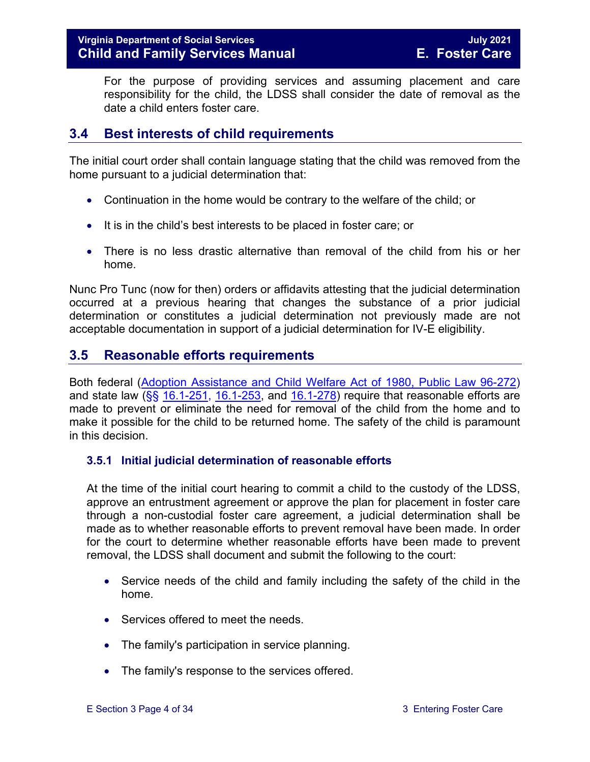For the purpose of providing services and assuming placement and care responsibility for the child, the LDSS shall consider the date of removal as the date a child enters foster care.

## <span id="page-3-0"></span>**3.4 Best interests of child requirements**

The initial court order shall contain language stating that the child was removed from the home pursuant to a judicial determination that:

- Continuation in the home would be contrary to the welfare of the child; or
- It is in the child's best interests to be placed in foster care; or
- There is no less drastic alternative than removal of the child from his or her home.

Nunc Pro Tunc (now for then) orders or affidavits attesting that the judicial determination occurred at a previous hearing that changes the substance of a prior judicial determination or constitutes a judicial determination not previously made are not acceptable documentation in support of a judicial determination for IV-E eligibility.

## <span id="page-3-1"></span>**3.5 Reasonable efforts requirements**

Both federal [\(Adoption Assistance and Child Welfare Act of 1980, Public Law 96-272\)](http://www.ssa.gov/OP_Home/comp2/F096-272.html) and state law  $(\frac{65}{516.1} - \frac{251}{16.1} - \frac{253}{16.1} - \frac{278}{16.1} - \frac{278}{16.1} - \frac{278}{16.1} - \frac{278}{16.1} - \frac{278}{16.1} - \frac{278}{16.1} - \frac{278}{16.1} - \frac{278}{16.1} - \frac{278}{16.1} - \frac{278}{16.1} - \frac{278}{16.1} - \frac{278}{16.1} - \frac{278}{16.1$ made to prevent or eliminate the need for removal of the child from the home and to make it possible for the child to be returned home. The safety of the child is paramount in this decision.

#### <span id="page-3-2"></span>**3.5.1 Initial judicial determination of reasonable efforts**

At the time of the initial court hearing to commit a child to the custody of the LDSS, approve an entrustment agreement or approve the plan for placement in foster care through a non-custodial foster care agreement, a judicial determination shall be made as to whether reasonable efforts to prevent removal have been made. In order for the court to determine whether reasonable efforts have been made to prevent removal, the LDSS shall document and submit the following to the court:

- Service needs of the child and family including the safety of the child in the home.
- Services offered to meet the needs.
- The family's participation in service planning.
- The family's response to the services offered.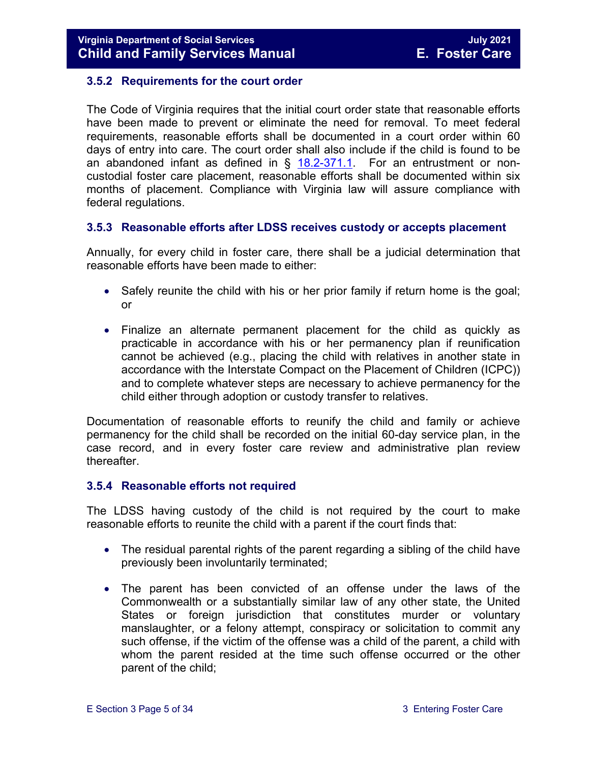#### <span id="page-4-0"></span>**3.5.2 Requirements for the court order**

The Code of Virginia requires that the initial court order state that reasonable efforts have been made to prevent or eliminate the need for removal. To meet federal requirements, reasonable efforts shall be documented in a court order within 60 days of entry into care. The court order shall also include if the child is found to be an abandoned infant as defined in  $\S$  [18.2-371.1.](https://law.lis.virginia.gov/vacode/18.2-371.1/) For an entrustment or noncustodial foster care placement, reasonable efforts shall be documented within six months of placement. Compliance with Virginia law will assure compliance with federal regulations.

#### <span id="page-4-1"></span>**3.5.3 Reasonable efforts after LDSS receives custody or accepts placement**

Annually, for every child in foster care, there shall be a judicial determination that reasonable efforts have been made to either:

- Safely reunite the child with his or her prior family if return home is the goal; or
- Finalize an alternate permanent placement for the child as quickly as practicable in accordance with his or her permanency plan if reunification cannot be achieved (e.g., placing the child with relatives in another state in accordance with the Interstate Compact on the Placement of Children (ICPC)) and to complete whatever steps are necessary to achieve permanency for the child either through adoption or custody transfer to relatives.

Documentation of reasonable efforts to reunify the child and family or achieve permanency for the child shall be recorded on the initial 60-day service plan, in the case record, and in every foster care review and administrative plan review thereafter.

#### <span id="page-4-2"></span>**3.5.4 Reasonable efforts not required**

The LDSS having custody of the child is not required by the court to make reasonable efforts to reunite the child with a parent if the court finds that:

- The residual parental rights of the parent regarding a sibling of the child have previously been involuntarily terminated;
- The parent has been convicted of an offense under the laws of the Commonwealth or a substantially similar law of any other state, the United States or foreign jurisdiction that constitutes murder or voluntary manslaughter, or a felony attempt, conspiracy or solicitation to commit any such offense, if the victim of the offense was a child of the parent, a child with whom the parent resided at the time such offense occurred or the other parent of the child;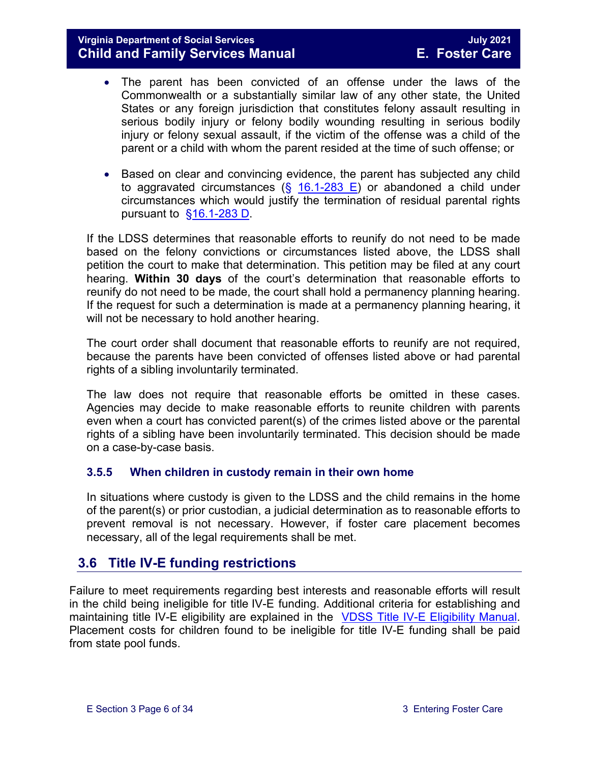#### **Virginia Department of Social Services July 2021 Child and Family Services Manual**

- The parent has been convicted of an offense under the laws of the Commonwealth or a substantially similar law of any other state, the United States or any foreign jurisdiction that constitutes felony assault resulting in serious bodily injury or felony bodily wounding resulting in serious bodily injury or felony sexual assault, if the victim of the offense was a child of the parent or a child with whom the parent resided at the time of such offense; or
- Based on clear and convincing evidence, the parent has subjected any child to aggravated circumstances  $(S_1 16.1-283 E)$  $(S_1 16.1-283 E)$  or abandoned a child under circumstances which would justify the termination of residual parental rights pursuant to  $§16.1-283$  D.

If the LDSS determines that reasonable efforts to reunify do not need to be made based on the felony convictions or circumstances listed above, the LDSS shall petition the court to make that determination. This petition may be filed at any court hearing. **Within 30 days** of the court's determination that reasonable efforts to reunify do not need to be made, the court shall hold a permanency planning hearing. If the request for such a determination is made at a permanency planning hearing, it will not be necessary to hold another hearing.

The court order shall document that reasonable efforts to reunify are not required, because the parents have been convicted of offenses listed above or had parental rights of a sibling involuntarily terminated.

The law does not require that reasonable efforts be omitted in these cases. Agencies may decide to make reasonable efforts to reunite children with parents even when a court has convicted parent(s) of the crimes listed above or the parental rights of a sibling have been involuntarily terminated. This decision should be made on a case-by-case basis.

#### <span id="page-5-0"></span>**3.5.5 When children in custody remain in their own home**

In situations where custody is given to the LDSS and the child remains in the home of the parent(s) or prior custodian, a judicial determination as to reasonable efforts to prevent removal is not necessary. However, if foster care placement becomes necessary, all of the legal requirements shall be met.

## <span id="page-5-1"></span>**3.6 Title IV-E funding restrictions**

Failure to meet requirements regarding best interests and reasonable efforts will result in the child being ineligible for title IV-E funding. Additional criteria for establishing and maintaining title IV-E eligibility are explained in the [VDSS Title IV-E Eligibility Manual.](https://fusion.dss.virginia.gov/dfs/DFS-Home/Title-IV-E/Title-IV-E-Guidance) Placement costs for children found to be ineligible for title IV-E funding shall be paid from state pool funds.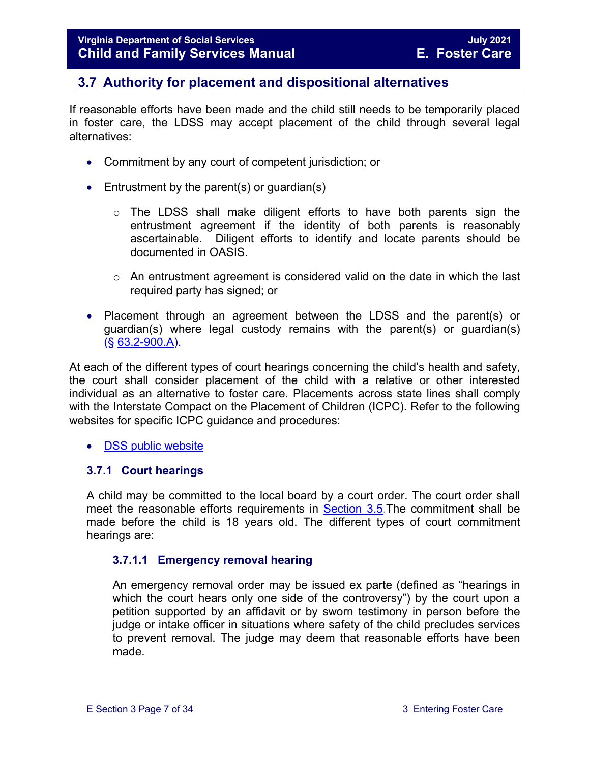## <span id="page-6-0"></span>**3.7 Authority for placement and dispositional alternatives**

If reasonable efforts have been made and the child still needs to be temporarily placed in foster care, the LDSS may accept placement of the child through several legal alternatives:

- Commitment by any court of competent jurisdiction; or
- Entrustment by the parent(s) or quardian(s)
	- $\circ$  The LDSS shall make diligent efforts to have both parents sign the entrustment agreement if the identity of both parents is reasonably ascertainable. Diligent efforts to identify and locate parents should be documented in OASIS.
	- o An entrustment agreement is considered valid on the date in which the last required party has signed; or
- Placement through an agreement between the LDSS and the parent(s) or guardian(s) where legal custody remains with the parent(s) or guardian(s) (§ [63.2-900.A\)](https://law.lis.virginia.gov/vacode/63.2-900/).

At each of the different types of court hearings concerning the child's health and safety, the court shall consider placement of the child with a relative or other interested individual as an alternative to foster care. Placements across state lines shall comply with the Interstate Compact on the Placement of Children (ICPC). Refer to the following websites for specific ICPC guidance and procedures:

• [DSS public website](http://www.dss.virginia.gov/family/icpc/index.cgi)

#### <span id="page-6-1"></span>**3.7.1 Court hearings**

A child may be committed to the local board by a court order. The court order shall meet the reasonable efforts requirements in [Section 3.5.](#page-3-1)The commitment shall be made before the child is 18 years old. The different types of court commitment hearings are:

#### **3.7.1.1 Emergency removal hearing**

An emergency removal order may be issued ex parte (defined as "hearings in which the court hears only one side of the controversy") by the court upon a petition supported by an affidavit or by sworn testimony in person before the judge or intake officer in situations where safety of the child precludes services to prevent removal. The judge may deem that reasonable efforts have been made.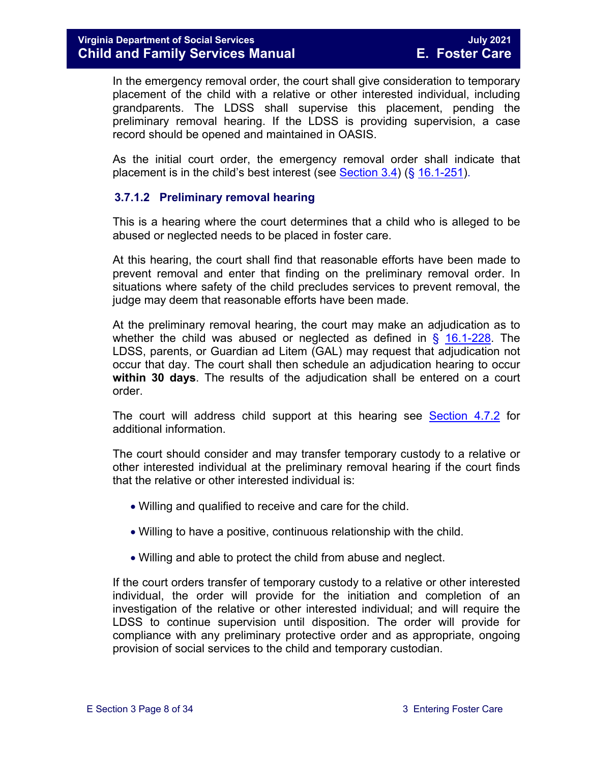In the emergency removal order, the court shall give consideration to temporary placement of the child with a relative or other interested individual, including grandparents. The LDSS shall supervise this placement, pending the preliminary removal hearing. If the LDSS is providing supervision, a case record should be opened and maintained in OASIS.

As the initial court order, the emergency removal order shall indicate that placement is in the child's best interest (see Section  $3.4$ ) (§ [16.1-251\)](https://law.lis.virginia.gov/vacode/16.1-251/).

#### **3.7.1.2 Preliminary removal hearing**

This is a hearing where the court determines that a child who is alleged to be abused or neglected needs to be placed in foster care.

At this hearing, the court shall find that reasonable efforts have been made to prevent removal and enter that finding on the preliminary removal order. In situations where safety of the child precludes services to prevent removal, the judge may deem that reasonable efforts have been made.

At the preliminary removal hearing, the court may make an adjudication as to whether the child was abused or neglected as defined in § [16.1-228.](https://law.lis.virginia.gov/vacode/16.1-228/) The LDSS, parents, or Guardian ad Litem (GAL) may request that adjudication not occur that day. The court shall then schedule an adjudication hearing to occur **within 30 days**. The results of the adjudication shall be entered on a court order.

The court will address child support at this hearing see [Section 4.7.2](https://fusion.dss.virginia.gov/Portals/%5bdfs%5d/Files/DFS%20Manuals/Foster%20Care%20Manuals/Foster%20Care%20Manual%2007-2020/Final%20Foster%20Care%20Manual%2007-2020/section_4_opening_and_maintaining_case.pdf#page=13) for additional information.

The court should consider and may transfer temporary custody to a relative or other interested individual at the preliminary removal hearing if the court finds that the relative or other interested individual is:

- Willing and qualified to receive and care for the child.
- Willing to have a positive, continuous relationship with the child.
- Willing and able to protect the child from abuse and neglect.

If the court orders transfer of temporary custody to a relative or other interested individual, the order will provide for the initiation and completion of an investigation of the relative or other interested individual; and will require the LDSS to continue supervision until disposition. The order will provide for compliance with any preliminary protective order and as appropriate, ongoing provision of social services to the child and temporary custodian.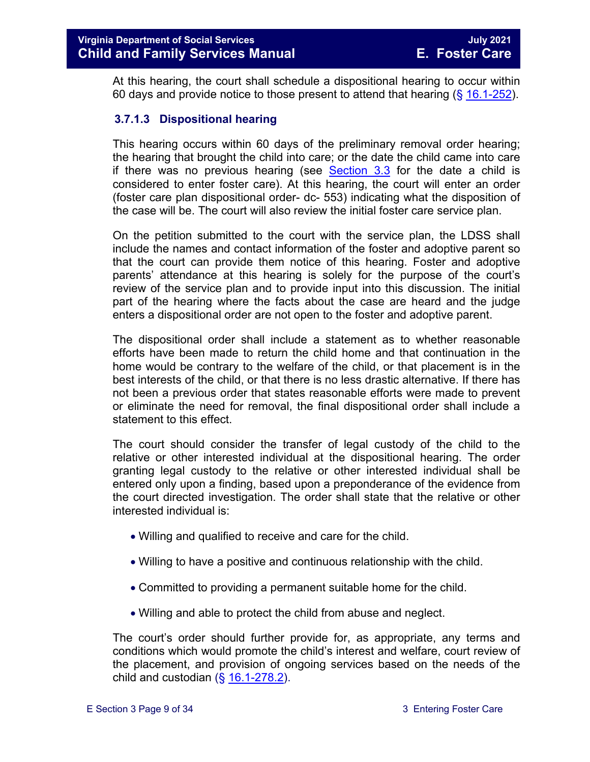At this hearing, the court shall schedule a dispositional hearing to occur within 60 days and provide notice to those present to attend that hearing  $(\S 16.1-252)$  $(\S 16.1-252)$ .

#### **3.7.1.3 Dispositional hearing**

This hearing occurs within 60 days of the preliminary removal order hearing; the hearing that brought the child into care; or the date the child came into care if there was no previous hearing (see [Section 3.3](#page-2-0) for the date a child is considered to enter foster care). At this hearing, the court will enter an order (foster care plan dispositional order- dc- 553) indicating what the disposition of the case will be. The court will also review the initial foster care service plan.

On the petition submitted to the court with the service plan, the LDSS shall include the names and contact information of the foster and adoptive parent so that the court can provide them notice of this hearing. Foster and adoptive parents' attendance at this hearing is solely for the purpose of the court's review of the service plan and to provide input into this discussion. The initial part of the hearing where the facts about the case are heard and the judge enters a dispositional order are not open to the foster and adoptive parent.

The dispositional order shall include a statement as to whether reasonable efforts have been made to return the child home and that continuation in the home would be contrary to the welfare of the child, or that placement is in the best interests of the child, or that there is no less drastic alternative. If there has not been a previous order that states reasonable efforts were made to prevent or eliminate the need for removal, the final dispositional order shall include a statement to this effect.

The court should consider the transfer of legal custody of the child to the relative or other interested individual at the dispositional hearing. The order granting legal custody to the relative or other interested individual shall be entered only upon a finding, based upon a preponderance of the evidence from the court directed investigation. The order shall state that the relative or other interested individual is:

- Willing and qualified to receive and care for the child.
- Willing to have a positive and continuous relationship with the child.
- Committed to providing a permanent suitable home for the child.
- Willing and able to protect the child from abuse and neglect.

The court's order should further provide for, as appropriate, any terms and conditions which would promote the child's interest and welfare, court review of the placement, and provision of ongoing services based on the needs of the child and custodian  $(\S 16.1-278.2)$  $(\S 16.1-278.2)$ .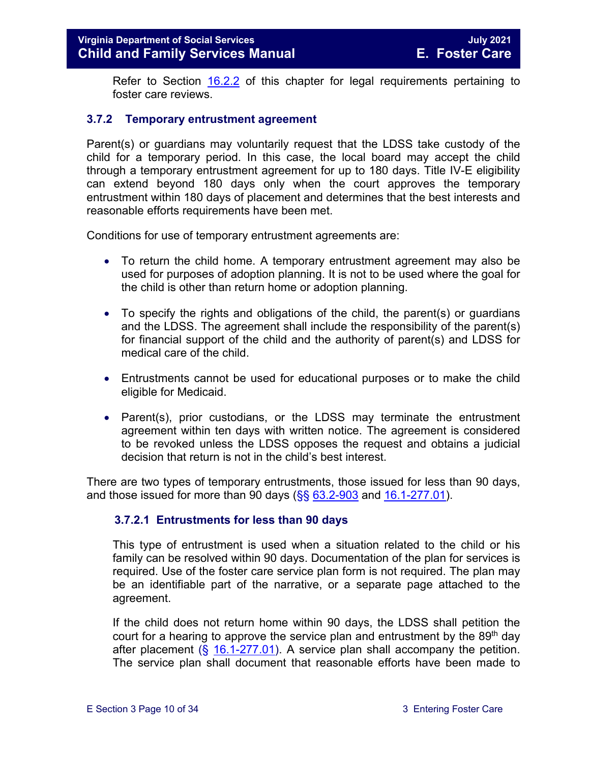Refer to Section [16.2.2](https://fusion.dss.virginia.gov/Portals/%5bdfs%5d/Files/DFS%20Manuals/Foster%20Care%20Manuals/Foster%20Care%20Manual%2007-2020/Final%20Foster%20Care%20Manual%2007-2020/section_16_judicial_hearings_and_mandated_foster_care_reviews.pdf#page=4) of this chapter for legal requirements pertaining to foster care reviews.

#### <span id="page-9-0"></span>**3.7.2 Temporary entrustment agreement**

Parent(s) or guardians may voluntarily request that the LDSS take custody of the child for a temporary period. In this case, the local board may accept the child through a temporary entrustment agreement for up to 180 days. Title IV-E eligibility can extend beyond 180 days only when the court approves the temporary entrustment within 180 days of placement and determines that the best interests and reasonable efforts requirements have been met.

Conditions for use of temporary entrustment agreements are:

- To return the child home. A temporary entrustment agreement may also be used for purposes of adoption planning. It is not to be used where the goal for the child is other than return home or adoption planning.
- To specify the rights and obligations of the child, the parent(s) or guardians and the LDSS. The agreement shall include the responsibility of the parent(s) for financial support of the child and the authority of parent(s) and LDSS for medical care of the child.
- Entrustments cannot be used for educational purposes or to make the child eligible for Medicaid.
- Parent(s), prior custodians, or the LDSS may terminate the entrustment agreement within ten days with written notice. The agreement is considered to be revoked unless the LDSS opposes the request and obtains a judicial decision that return is not in the child's best interest.

There are two types of temporary entrustments, those issued for less than 90 days, and those issued for more than 90 days ( $\S$ §  $63.2-903$  and  $16.1-277.01$ ).

#### **3.7.2.1 Entrustments for less than 90 days**

This type of entrustment is used when a situation related to the child or his family can be resolved within 90 days. Documentation of the plan for services is required. Use of the foster care service plan form is not required. The plan may be an identifiable part of the narrative, or a separate page attached to the agreement.

If the child does not return home within 90 days, the LDSS shall petition the court for a hearing to approve the service plan and entrustment by the 89<sup>th</sup> day after placement  $(\S 16.1-277.01)$  $(\S 16.1-277.01)$ . A service plan shall accompany the petition. The service plan shall document that reasonable efforts have been made to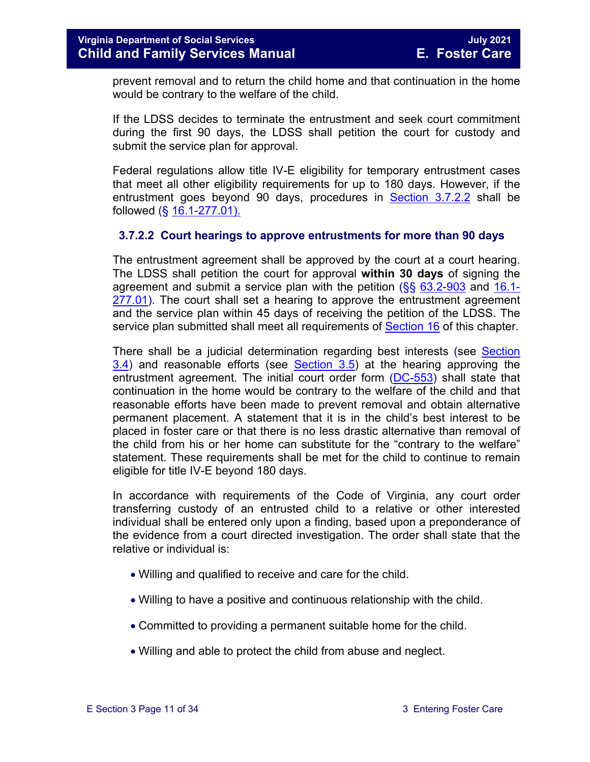prevent removal and to return the child home and that continuation in the home would be contrary to the welfare of the child.

If the LDSS decides to terminate the entrustment and seek court commitment during the first 90 days, the LDSS shall petition the court for custody and submit the service plan for approval.

Federal regulations allow title IV-E eligibility for temporary entrustment cases that meet all other eligibility requirements for up to 180 days. However, if the entrustment goes beyond 90 days, procedures in [Section 3.7.2.2](#page-10-0) shall be followed (§ [16.1-277.01\).](https://law.lis.virginia.gov/vacode/16.1-277.01/)

#### <span id="page-10-0"></span>**3.7.2.2 Court hearings to approve entrustments for more than 90 days**

The entrustment agreement shall be approved by the court at a court hearing. The LDSS shall petition the court for approval **within 30 days** of signing the agreement and submit a service plan with the petition  $(\frac{66}{63.2} - \frac{100}{3})$  and [16.1-](https://law.lis.virginia.gov/vacode/16.1-277.01/) [277.01\)](https://law.lis.virginia.gov/vacode/16.1-277.01/). The court shall set a hearing to approve the entrustment agreement and the service plan within 45 days of receiving the petition of the LDSS. The service plan submitted shall meet all requirements of [Section 16](https://fusion.dss.virginia.gov/Portals/%5bdfs%5d/Files/DFS%20Manuals/Foster%20Care%20Manuals/Foster%20Care%20Manual%2007-2020/Final%20Foster%20Care%20Manual%2007-2020/section_16_judicial_hearings_and_mandated_foster_care_reviews.pdf) of this chapter.

There shall be a judicial determination regarding best interests (see [Section](#page-3-0)   $3.4$ ) and reasonable efforts (see Section  $3.5$ ) at the hearing approving the entrustment agreement. The initial court order form [\(DC-553\)](https://fusion.dss.virginia.gov/Portals/%5Bdfs%5D/Files/DFS%20FORMS/Court%20Forms/DC-553%20Dispositional%20Order%20for%20Underlying%20Petition%20Foster%20Care%20Plan.pdf) shall state that continuation in the home would be contrary to the welfare of the child and that reasonable efforts have been made to prevent removal and obtain alternative permanent placement. A statement that it is in the child's best interest to be placed in foster care or that there is no less drastic alternative than removal of the child from his or her home can substitute for the "contrary to the welfare" statement. These requirements shall be met for the child to continue to remain eligible for title IV-E beyond 180 days.

In accordance with requirements of the Code of Virginia, any court order transferring custody of an entrusted child to a relative or other interested individual shall be entered only upon a finding, based upon a preponderance of the evidence from a court directed investigation. The order shall state that the relative or individual is:

- Willing and qualified to receive and care for the child.
- Willing to have a positive and continuous relationship with the child.
- Committed to providing a permanent suitable home for the child.
- Willing and able to protect the child from abuse and neglect.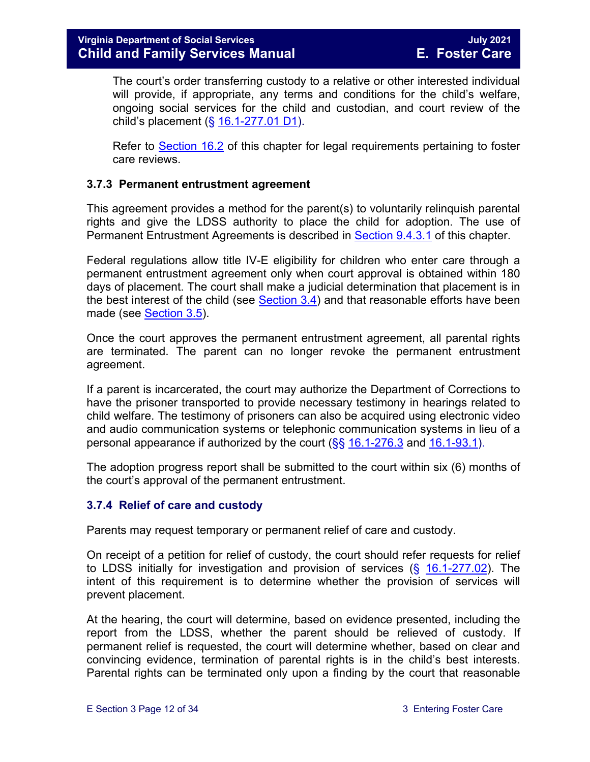The court's order transferring custody to a relative or other interested individual will provide, if appropriate, any terms and conditions for the child's welfare, ongoing social services for the child and custodian, and court review of the child's placement (§ [16.1-277.01 D1\)](https://law.lis.virginia.gov/vacode/16.1-277.01/).

Refer to [Section 16.2](https://fusion.dss.virginia.gov/Portals/%5bdfs%5d/Files/DFS%20Manuals/Foster%20Care%20Manuals/Foster%20Care%20Manual%2007-2020/Final%20Foster%20Care%20Manual%2007-2020/section_16_judicial_hearings_and_mandated_foster_care_reviews.pdf#page=3) of this chapter for legal requirements pertaining to foster care reviews.

#### <span id="page-11-0"></span>**3.7.3 Permanent entrustment agreement**

This agreement provides a method for the parent(s) to voluntarily relinquish parental rights and give the LDSS authority to place the child for adoption. The use of Permanent Entrustment Agreements is described in [Section](https://fusion.dss.virginia.gov/Portals/%5bdfs%5d/Files/DFS%20Manuals/Foster%20Care%20Manuals/Foster%20Care%20Manual%2007-2020/Final%20Foster%20Care%20Manual%2007-2020/section_9_achieving_permanency_goal_adoption.pdf#page=7) 9.4.3.1 of this chapter.

Federal regulations allow title IV-E eligibility for children who enter care through a permanent entrustment agreement only when court approval is obtained within 180 days of placement. The court shall make a judicial determination that placement is in the best interest of the child (see [Section 3.4\)](#page-3-0) and that reasonable efforts have been made (see [Section 3.5\)](#page-3-1).

Once the court approves the permanent entrustment agreement, all parental rights are terminated. The parent can no longer revoke the permanent entrustment agreement.

If a parent is incarcerated, the court may authorize the Department of Corrections to have the prisoner transported to provide necessary testimony in hearings related to child welfare. The testimony of prisoners can also be acquired using electronic video and audio communication systems or telephonic communication systems in lieu of a personal appearance if authorized by the court  $(\frac{6}{5}, \frac{16.1-276.3}{2}$  and  $\frac{16.1-93.1}{2}$ .

The adoption progress report shall be submitted to the court within six (6) months of the court's approval of the permanent entrustment.

#### <span id="page-11-1"></span>**3.7.4 Relief of care and custody**

Parents may request temporary or permanent relief of care and custody.

On receipt of a petition for relief of custody, the court should refer requests for relief to LDSS initially for investigation and provision of services  $(\S$  [16.1-277.02\)](https://law.lis.virginia.gov/vacode/16.1-277.02/). The intent of this requirement is to determine whether the provision of services will prevent placement.

At the hearing, the court will determine, based on evidence presented, including the report from the LDSS, whether the parent should be relieved of custody. If permanent relief is requested, the court will determine whether, based on clear and convincing evidence, termination of parental rights is in the child's best interests. Parental rights can be terminated only upon a finding by the court that reasonable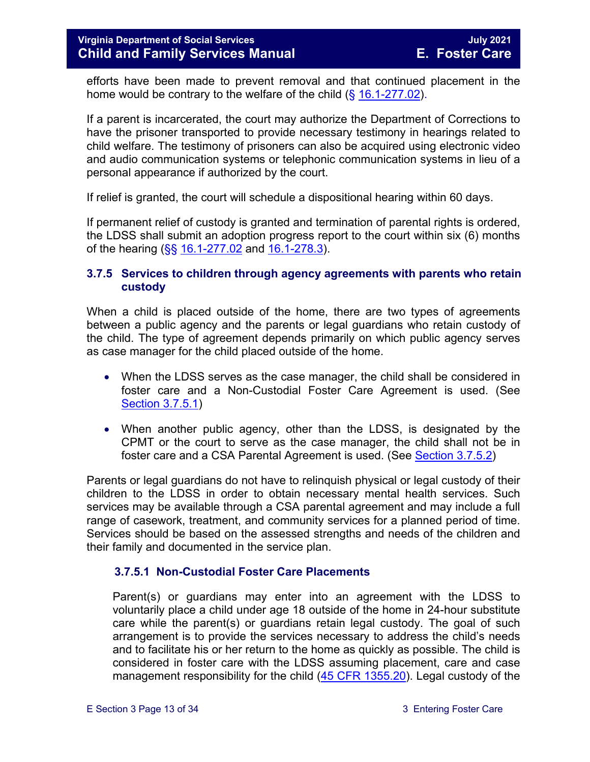efforts have been made to prevent removal and that continued placement in the home would be contrary to the welfare of the child  $(\S 16.1-277.02)$  $(\S 16.1-277.02)$ .

If a parent is incarcerated, the court may authorize the Department of Corrections to have the prisoner transported to provide necessary testimony in hearings related to child welfare. The testimony of prisoners can also be acquired using electronic video and audio communication systems or telephonic communication systems in lieu of a personal appearance if authorized by the court.

If relief is granted, the court will schedule a dispositional hearing within 60 days.

If permanent relief of custody is granted and termination of parental rights is ordered, the LDSS shall submit an adoption progress report to the court within six (6) months of the hearing (§§ [16.1-277.02](https://law.lis.virginia.gov/vacode/16.1-277.02/) and [16.1-278.3\)](https://law.lis.virginia.gov/vacode/16.1-278.3/).

#### <span id="page-12-0"></span>**3.7.5 Services to children through agency agreements with parents who retain custody**

When a child is placed outside of the home, there are two types of agreements between a public agency and the parents or legal guardians who retain custody of the child. The type of agreement depends primarily on which public agency serves as case manager for the child placed outside of the home.

- When the LDSS serves as the case manager, the child shall be considered in foster care and a Non-Custodial Foster Care Agreement is used. (See [Section 3.7.5.1\)](#page-13-0)
- When another public agency, other than the LDSS, is designated by the CPMT or the court to serve as the case manager, the child shall not be in foster care and a CSA Parental Agreement is used. (See [Section 3.7.5.2\)](#page-16-0)

Parents or legal guardians do not have to relinquish physical or legal custody of their children to the LDSS in order to obtain necessary mental health services. Such services may be available through a CSA parental agreement and may include a full range of casework, treatment, and community services for a planned period of time. Services should be based on the assessed strengths and needs of the children and their family and documented in the service plan.

#### **3.7.5.1 Non-Custodial Foster Care Placements**

Parent(s) or guardians may enter into an agreement with the LDSS to voluntarily place a child under age 18 outside of the home in 24-hour substitute care while the parent(s) or guardians retain legal custody. The goal of such arrangement is to provide the services necessary to address the child's needs and to facilitate his or her return to the home as quickly as possible. The child is considered in foster care with the LDSS assuming placement, care and case management responsibility for the child [\(45 CFR 1355.20\)](http://edocket.access.gpo.gov/cfr_2002/octqtr/45cfr1355.20.htm). Legal custody of the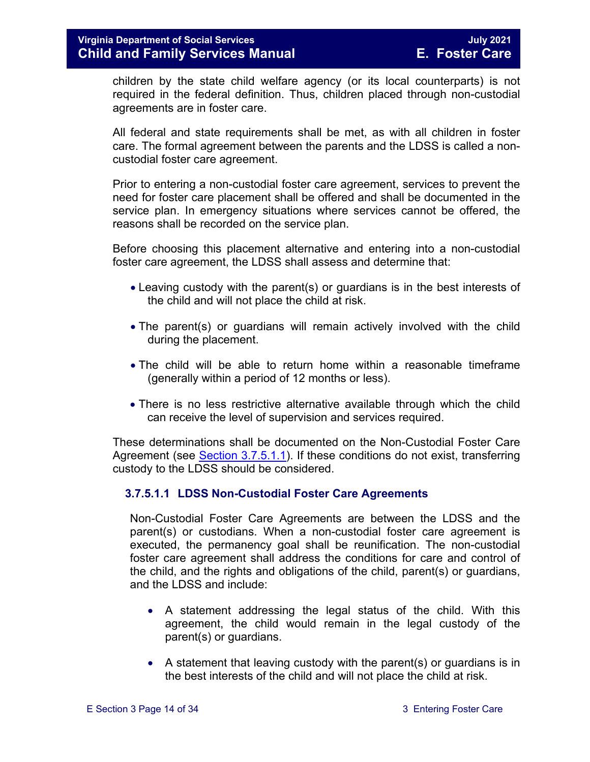children by the state child welfare agency (or its local counterparts) is not required in the federal definition. Thus, children placed through non-custodial agreements are in foster care.

All federal and state requirements shall be met, as with all children in foster care. The formal agreement between the parents and the LDSS is called a noncustodial foster care agreement.

Prior to entering a non-custodial foster care agreement, services to prevent the need for foster care placement shall be offered and shall be documented in the service plan. In emergency situations where services cannot be offered, the reasons shall be recorded on the service plan.

Before choosing this placement alternative and entering into a non-custodial foster care agreement, the LDSS shall assess and determine that:

- Leaving custody with the parent(s) or guardians is in the best interests of the child and will not place the child at risk.
- The parent(s) or guardians will remain actively involved with the child during the placement.
- The child will be able to return home within a reasonable timeframe (generally within a period of 12 months or less).
- There is no less restrictive alternative available through which the child can receive the level of supervision and services required.

These determinations shall be documented on the Non-Custodial Foster Care Agreement (see [Section 3.7.5.1.1\)](#page-13-0). If these conditions do not exist, transferring custody to the LDSS should be considered.

#### <span id="page-13-0"></span>**3.7.5.1.1 LDSS Non-Custodial Foster Care Agreements**

Non-Custodial Foster Care Agreements are between the LDSS and the parent(s) or custodians. When a non-custodial foster care agreement is executed, the permanency goal shall be reunification. The non-custodial foster care agreement shall address the conditions for care and control of the child, and the rights and obligations of the child, parent(s) or guardians, and the LDSS and include:

- A statement addressing the legal status of the child. With this agreement, the child would remain in the legal custody of the parent(s) or guardians.
- A statement that leaving custody with the parent(s) or guardians is in the best interests of the child and will not place the child at risk.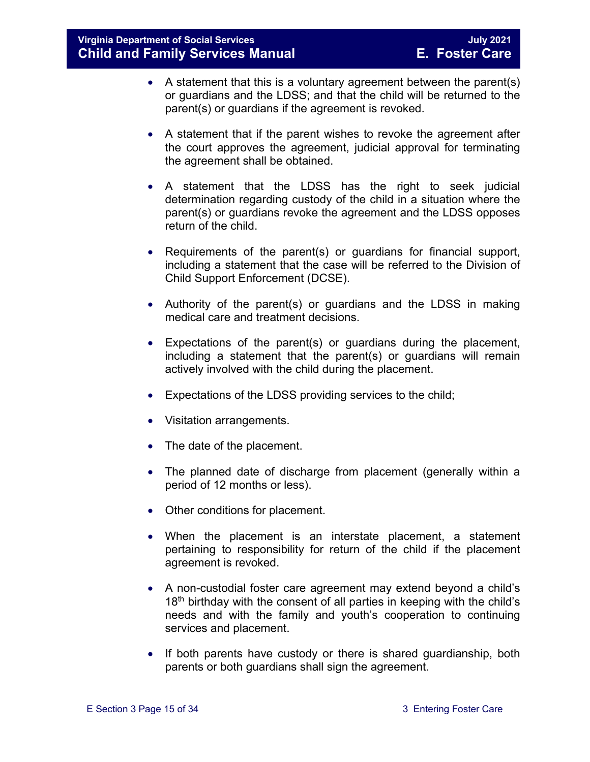- A statement that this is a voluntary agreement between the parent(s) or guardians and the LDSS; and that the child will be returned to the parent(s) or guardians if the agreement is revoked.
- A statement that if the parent wishes to revoke the agreement after the court approves the agreement, judicial approval for terminating the agreement shall be obtained.
- A statement that the LDSS has the right to seek judicial determination regarding custody of the child in a situation where the parent(s) or guardians revoke the agreement and the LDSS opposes return of the child.
- Requirements of the parent(s) or guardians for financial support, including a statement that the case will be referred to the Division of Child Support Enforcement (DCSE).
- Authority of the parent(s) or guardians and the LDSS in making medical care and treatment decisions.
- Expectations of the parent(s) or guardians during the placement, including a statement that the parent(s) or guardians will remain actively involved with the child during the placement.
- Expectations of the LDSS providing services to the child;
- Visitation arrangements.
- The date of the placement.
- The planned date of discharge from placement (generally within a period of 12 months or less).
- Other conditions for placement.
- When the placement is an interstate placement, a statement pertaining to responsibility for return of the child if the placement agreement is revoked.
- A non-custodial foster care agreement may extend beyond a child's  $18<sup>th</sup>$  birthday with the consent of all parties in keeping with the child's needs and with the family and youth's cooperation to continuing services and placement.
- If both parents have custody or there is shared guardianship, both parents or both guardians shall sign the agreement.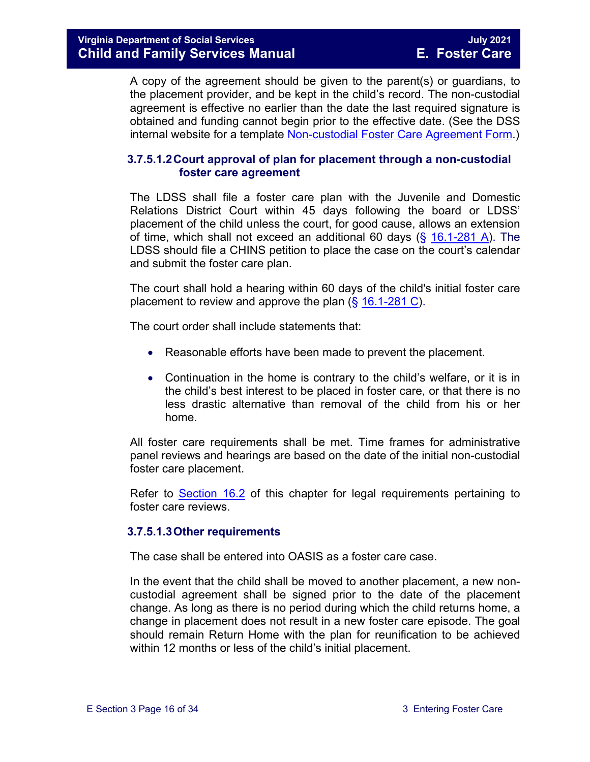A copy of the agreement should be given to the parent(s) or guardians, to the placement provider, and be kept in the child's record. The non-custodial agreement is effective no earlier than the date the last required signature is obtained and funding cannot begin prior to the effective date. (See the DSS internal website for a template [Non-custodial Foster Care Agreement Form.](https://fusion.dss.virginia.gov/dfs/DFS-Home/Foster-Care/Foster-Care-Forms))

#### **3.7.5.1.2Court approval of plan for placement through a non-custodial foster care agreement**

The LDSS shall file a foster care plan with the Juvenile and Domestic Relations District Court within 45 days following the board or LDSS' placement of the child unless the court, for good cause, allows an extension of time, which shall not exceed an additional 60 days  $(\frac{25}{16.1} - \frac{281}{16.1})$ . The LDSS should file a CHINS petition to place the case on the court's calendar and submit the foster care plan.

The court shall hold a hearing within 60 days of the child's initial foster care placement to review and approve the plan (§ [16.1-281 C\)](https://law.lis.virginia.gov/vacode/16.1-281/).

The court order shall include statements that:

- Reasonable efforts have been made to prevent the placement.
- Continuation in the home is contrary to the child's welfare, or it is in the child's best interest to be placed in foster care, or that there is no less drastic alternative than removal of the child from his or her home.

All foster care requirements shall be met. Time frames for administrative panel reviews and hearings are based on the date of the initial non-custodial foster care placement.

Refer to [Section 16.2](https://fusion.dss.virginia.gov/Portals/%5bdfs%5d/Files/DFS%20Manuals/Foster%20Care%20Manuals/Foster%20Care%20Manual%2007-2020/Final%20Foster%20Care%20Manual%2007-2020/section_16_judicial_hearings_and_mandated_foster_care_reviews.pdf#page=3) of this chapter for legal requirements pertaining to foster care reviews.

#### **3.7.5.1.3Other requirements**

The case shall be entered into OASIS as a foster care case.

In the event that the child shall be moved to another placement, a new noncustodial agreement shall be signed prior to the date of the placement change. As long as there is no period during which the child returns home, a change in placement does not result in a new foster care episode. The goal should remain Return Home with the plan for reunification to be achieved within 12 months or less of the child's initial placement.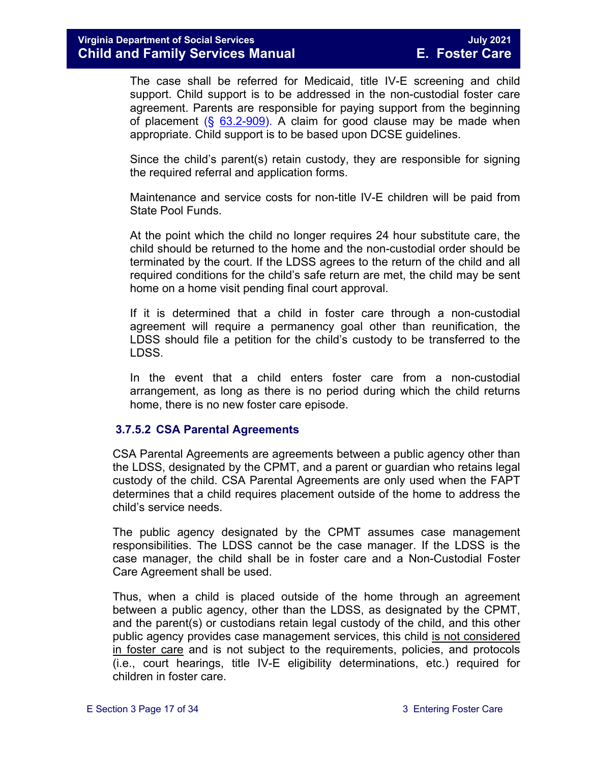The case shall be referred for Medicaid, title IV-E screening and child support. Child support is to be addressed in the non-custodial foster care agreement. Parents are responsible for paying support from the beginning of placement  $(\S$  [63.2-909\)](https://law.lis.virginia.gov/vacode/63.2-909/). A claim for good clause may be made when appropriate. Child support is to be based upon DCSE guidelines.

Since the child's parent(s) retain custody, they are responsible for signing the required referral and application forms.

Maintenance and service costs for non-title IV-E children will be paid from State Pool Funds.

At the point which the child no longer requires 24 hour substitute care, the child should be returned to the home and the non-custodial order should be terminated by the court. If the LDSS agrees to the return of the child and all required conditions for the child's safe return are met, the child may be sent home on a home visit pending final court approval.

If it is determined that a child in foster care through a non-custodial agreement will require a permanency goal other than reunification, the LDSS should file a petition for the child's custody to be transferred to the LDSS.

In the event that a child enters foster care from a non-custodial arrangement, as long as there is no period during which the child returns home, there is no new foster care episode.

#### <span id="page-16-0"></span>**3.7.5.2 CSA Parental Agreements**

CSA Parental Agreements are agreements between a public agency other than the LDSS, designated by the CPMT, and a parent or guardian who retains legal custody of the child. CSA Parental Agreements are only used when the FAPT determines that a child requires placement outside of the home to address the child's service needs.

The public agency designated by the CPMT assumes case management responsibilities. The LDSS cannot be the case manager. If the LDSS is the case manager, the child shall be in foster care and a Non-Custodial Foster Care Agreement shall be used.

Thus, when a child is placed outside of the home through an agreement between a public agency, other than the LDSS, as designated by the CPMT, and the parent(s) or custodians retain legal custody of the child, and this other public agency provides case management services, this child is not considered in foster care and is not subject to the requirements, policies, and protocols (i.e., court hearings, title IV-E eligibility determinations, etc.) required for children in foster care.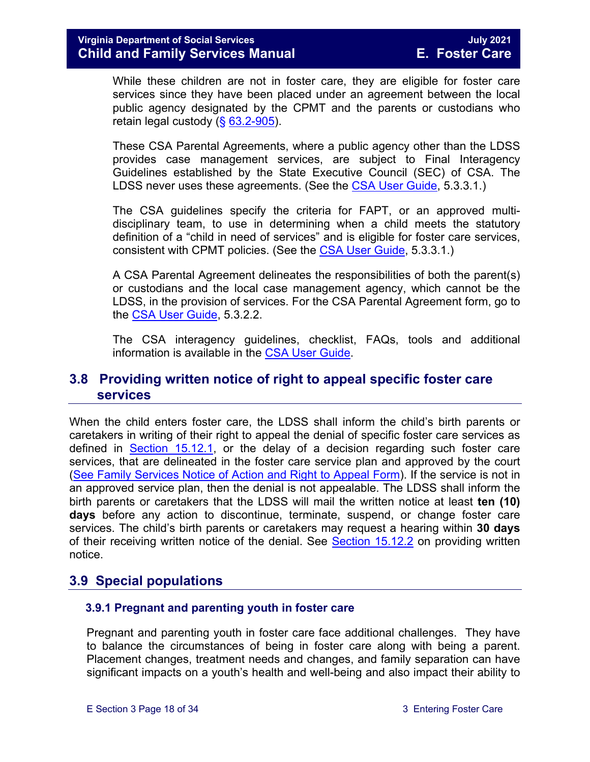While these children are not in foster care, they are eligible for foster care services since they have been placed under an agreement between the local public agency designated by the CPMT and the parents or custodians who retain legal custody (§ [63.2-905\)](https://law.lis.virginia.gov/vacode/63.2-905/).

These CSA Parental Agreements, where a public agency other than the LDSS provides case management services, are subject to Final Interagency Guidelines established by the State Executive Council (SEC) of CSA. The LDSS never uses these agreements. (See the [CSA User Guide,](https://www.csa.virginia.gov/content/doc/CSA_User_Guide_2018_Update.pdf) 5.3.3.1.)

The CSA guidelines specify the criteria for FAPT, or an approved multidisciplinary team, to use in determining when a child meets the statutory definition of a "child in need of services" and is eligible for foster care services, consistent with CPMT policies. (See the [CSA User Guide,](https://www.csa.virginia.gov/content/doc/CSA_User_Guide_2018_Update.pdf) 5.3.3.1.)

A CSA Parental Agreement delineates the responsibilities of both the parent(s) or custodians and the local case management agency, which cannot be the LDSS, in the provision of services. For the CSA Parental Agreement form, go to the [CSA User Guide,](https://www.csa.virginia.gov/content/doc/CSA_User_Guide_2018_Update.pdf) 5.3.2.2.

The CSA interagency guidelines, checklist, FAQs, tools and additional information is available in the [CSA User Guide.](https://www.csa.virginia.gov/content/doc/CSA_User_Guide_2018_Update.pdf)

## <span id="page-17-0"></span>**3.8 Providing written notice of right to appeal specific foster care services**

When the child enters foster care, the LDSS shall inform the child's birth parents or caretakers in writing of their right to appeal the denial of specific foster care services as defined in [Section 15.12.1,](https://fusion.dss.virginia.gov/Portals/%5bdfs%5d/Files/DFS%20Manuals/Foster%20Care%20Manuals/Foster%20Care%20Manual%2007-2020/Final%20Foster%20Care%20Manual%2007-2020/section_15_developing_service_plan.pdf#page=17) or the delay of a decision regarding such foster care services, that are delineated in the foster care service plan and approved by the court [\(See Family Services Notice of Action and Right to Appeal Form\)](https://fusion.dss.virginia.gov/Portals/%5Bdfs%5D/Files/DFS%20FORMS/Family%20Services-Generic%20Forms/Family%20Services%20Notice%20of%20Action%20and%20Right%20to%20Appeal.pdf). If the service is not in an approved service plan, then the denial is not appealable. The LDSS shall inform the birth parents or caretakers that the LDSS will mail the written notice at least **ten (10) days** before any action to discontinue, terminate, suspend, or change foster care services. The child's birth parents or caretakers may request a hearing within **30 days** of their receiving written notice of the denial. See [Section 15.12.2](https://fusion.dss.virginia.gov/Portals/%5bdfs%5d/Files/DFS%20Manuals/Foster%20Care%20Manuals/Foster%20Care%20Manual%2007-2020/Final%20Foster%20Care%20Manual%2007-2020/section_15_developing_service_plan.pdf#page=18) on providing written notice.

## <span id="page-17-1"></span>**3.9 Special populations**

#### <span id="page-17-2"></span> **3.9.1 Pregnant and parenting youth in foster care**

Pregnant and parenting youth in foster care face additional challenges. They have to balance the circumstances of being in foster care along with being a parent. Placement changes, treatment needs and changes, and family separation can have significant impacts on a youth's health and well-being and also impact their ability to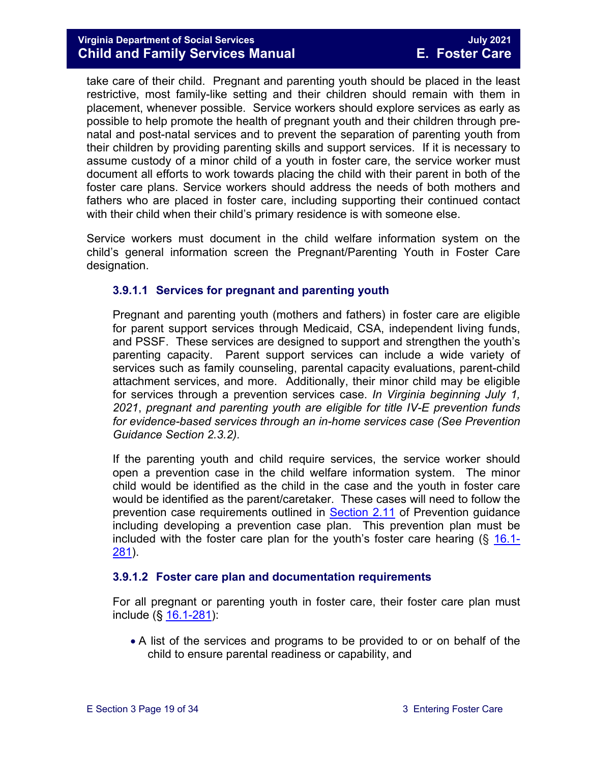#### **Virginia Department of Social Services July 2021 Child and Family Services Manual E. Foster Care**

take care of their child. Pregnant and parenting youth should be placed in the least restrictive, most family-like setting and their children should remain with them in placement, whenever possible. Service workers should explore services as early as possible to help promote the health of pregnant youth and their children through prenatal and post-natal services and to prevent the separation of parenting youth from their children by providing parenting skills and support services. If it is necessary to assume custody of a minor child of a youth in foster care, the service worker must document all efforts to work towards placing the child with their parent in both of the foster care plans. Service workers should address the needs of both mothers and fathers who are placed in foster care, including supporting their continued contact with their child when their child's primary residence is with someone else.

Service workers must document in the child welfare information system on the child's general information screen the Pregnant/Parenting Youth in Foster Care designation.

#### **3.9.1.1 Services for pregnant and parenting youth**

Pregnant and parenting youth (mothers and fathers) in foster care are eligible for parent support services through Medicaid, CSA, independent living funds, and PSSF. These services are designed to support and strengthen the youth's parenting capacity. Parent support services can include a wide variety of services such as family counseling, parental capacity evaluations, parent-child attachment services, and more. Additionally, their minor child may be eligible for services through a prevention services case. *In Virginia beginning July 1, 2021*, *pregnant and parenting youth are eligible for title IV-E prevention funds for evidence-based services through an in-home services case (See Prevention Guidance Section 2.3.2).* 

If the parenting youth and child require services, the service worker should open a prevention case in the child welfare information system. The minor child would be identified as the child in the case and the youth in foster care would be identified as the parent/caretaker. These cases will need to follow the prevention case requirements outlined in **Section 2.11** of Prevention guidance including developing a prevention case plan. This prevention plan must be included with the foster care plan for the youth's foster care hearing (§ [16.1-](https://law.lis.virginia.gov/vacode/title16.1/chapter11/section16.1-281/) [281\)](https://law.lis.virginia.gov/vacode/title16.1/chapter11/section16.1-281/).

#### **3.9.1.2 Foster care plan and documentation requirements**

For all pregnant or parenting youth in foster care, their foster care plan must include (§ [16.1-281\)](https://law.lis.virginia.gov/vacode/title16.1/chapter11/section16.1-281/):

• A list of the services and programs to be provided to or on behalf of the child to ensure parental readiness or capability, and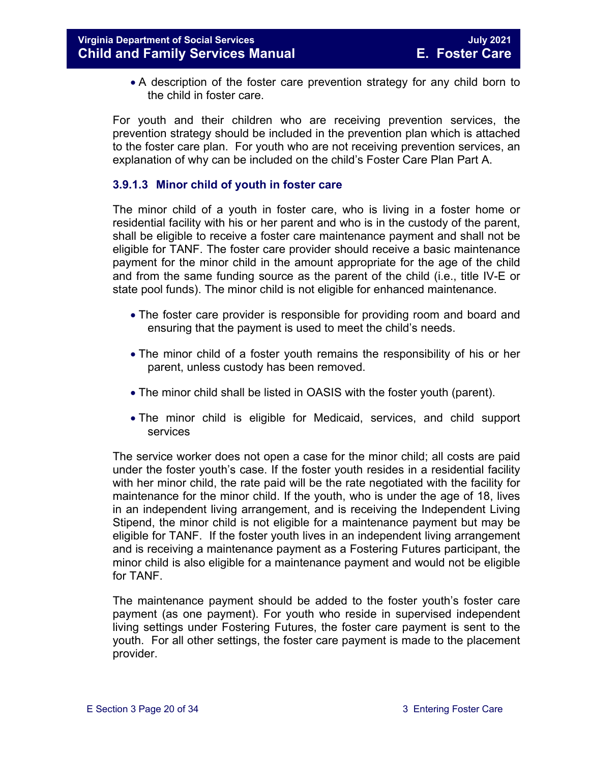• A description of the foster care prevention strategy for any child born to the child in foster care.

For youth and their children who are receiving prevention services, the prevention strategy should be included in the prevention plan which is attached to the foster care plan. For youth who are not receiving prevention services, an explanation of why can be included on the child's Foster Care Plan Part A.

#### **3.9.1.3 Minor child of youth in foster care**

The minor child of a youth in foster care, who is living in a foster home or residential facility with his or her parent and who is in the custody of the parent, shall be eligible to receive a foster care maintenance payment and shall not be eligible for TANF. The foster care provider should receive a basic maintenance payment for the minor child in the amount appropriate for the age of the child and from the same funding source as the parent of the child (i.e., title IV-E or state pool funds). The minor child is not eligible for enhanced maintenance.

- The foster care provider is responsible for providing room and board and ensuring that the payment is used to meet the child's needs.
- The minor child of a foster youth remains the responsibility of his or her parent, unless custody has been removed.
- The minor child shall be listed in OASIS with the foster youth (parent).
- The minor child is eligible for Medicaid, services, and child support services

The service worker does not open a case for the minor child; all costs are paid under the foster youth's case. If the foster youth resides in a residential facility with her minor child, the rate paid will be the rate negotiated with the facility for maintenance for the minor child. If the youth, who is under the age of 18, lives in an independent living arrangement, and is receiving the Independent Living Stipend, the minor child is not eligible for a maintenance payment but may be eligible for TANF. If the foster youth lives in an independent living arrangement and is receiving a maintenance payment as a Fostering Futures participant, the minor child is also eligible for a maintenance payment and would not be eligible for TANF.

The maintenance payment should be added to the foster youth's foster care payment (as one payment). For youth who reside in supervised independent living settings under Fostering Futures, the foster care payment is sent to the youth. For all other settings, the foster care payment is made to the placement provider.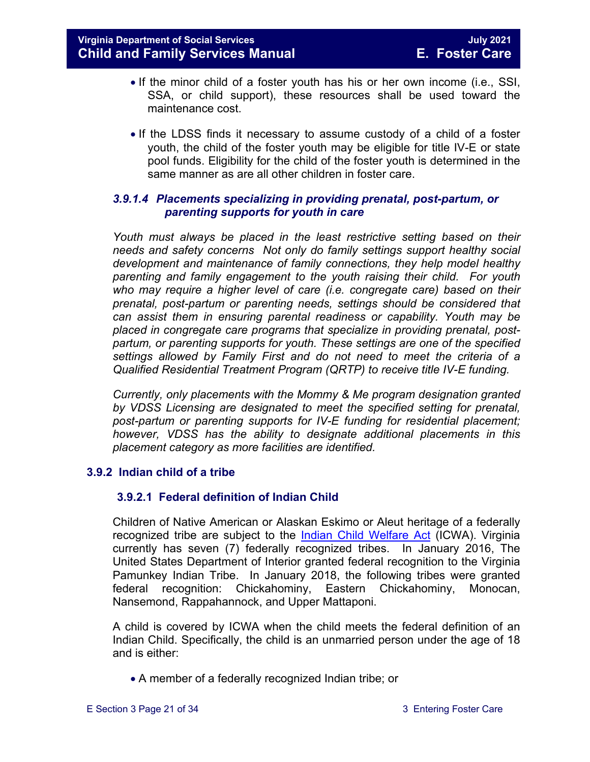- If the minor child of a foster youth has his or her own income (i.e., SSI, SSA, or child support), these resources shall be used toward the maintenance cost.
- If the LDSS finds it necessary to assume custody of a child of a foster youth, the child of the foster youth may be eligible for title IV-E or state pool funds. Eligibility for the child of the foster youth is determined in the same manner as are all other children in foster care.

#### *3.9.1.4 Placements specializing in providing prenatal, post-partum, or parenting supports for youth in care*

*Youth must always be placed in the least restrictive setting based on their needs and safety concerns Not only do family settings support healthy social development and maintenance of family connections, they help model healthy parenting and family engagement to the youth raising their child. For youth who may require a higher level of care (i.e. congregate care) based on their prenatal, post-partum or parenting needs, settings should be considered that can assist them in ensuring parental readiness or capability. Youth may be placed in congregate care programs that specialize in providing prenatal, postpartum, or parenting supports for youth. These settings are one of the specified settings allowed by Family First and do not need to meet the criteria of a Qualified Residential Treatment Program (QRTP) to receive title IV-E funding.*

*Currently, only placements with the Mommy & Me program designation granted by VDSS Licensing are designated to meet the specified setting for prenatal, post-partum or parenting supports for IV-E funding for residential placement; however, VDSS has the ability to designate additional placements in this placement category as more facilities are identified.*

#### <span id="page-20-0"></span>**3.9.2 Indian child of a tribe**

#### **3.9.2.1 Federal definition of Indian Child**

Children of Native American or Alaskan Eskimo or Aleut heritage of a federally recognized tribe are subject to the [Indian Child Welfare Act](http://www.gpo.gov/fdsys/pkg/USCODE-2010-title25/pdf/USCODE-2010-title25-chap21.pdf) (ICWA). Virginia currently has seven (7) federally recognized tribes. In January 2016, The United States Department of Interior granted federal recognition to the Virginia Pamunkey Indian Tribe. In January 2018, the following tribes were granted federal recognition: Chickahominy, Eastern Chickahominy, Monocan, Nansemond, Rappahannock, and Upper Mattaponi.

A child is covered by ICWA when the child meets the federal definition of an Indian Child. Specifically, the child is an unmarried person under the age of 18 and is either:

• A member of a federally recognized Indian tribe; or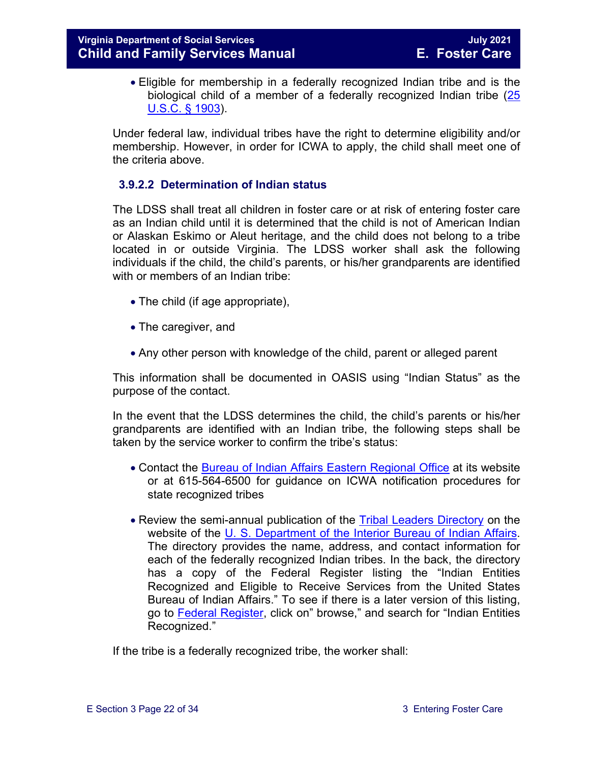• Eligible for membership in a federally recognized Indian tribe and is the biological child of a member of a federally recognized Indian tribe [\(25](http://www.gpo.gov/fdsys/pkg/USCODE-2011-title25/pdf/USCODE-2011-title25-chap21.pdf)  [U.S.C. § 1903\)](http://www.gpo.gov/fdsys/pkg/USCODE-2011-title25/pdf/USCODE-2011-title25-chap21.pdf).

Under federal law, individual tribes have the right to determine eligibility and/or membership. However, in order for ICWA to apply, the child shall meet one of the criteria above.

#### **3.9.2.2 Determination of Indian status**

The LDSS shall treat all children in foster care or at risk of entering foster care as an Indian child until it is determined that the child is not of American Indian or Alaskan Eskimo or Aleut heritage, and the child does not belong to a tribe located in or outside Virginia. The LDSS worker shall ask the following individuals if the child, the child's parents, or his/her grandparents are identified with or members of an Indian tribe:

- The child (if age appropriate),
- The caregiver, and
- Any other person with knowledge of the child, parent or alleged parent

This information shall be documented in OASIS using "Indian Status" as the purpose of the contact.

In the event that the LDSS determines the child, the child's parents or his/her grandparents are identified with an Indian tribe, the following steps shall be taken by the service worker to confirm the tribe's status:

- Contact the [Bureau of Indian Affairs Eastern Regional Office](http://www.bia.gov/WhoWeAre/RegionalOffices/Eastern/index.htm) at its website or at 615-564-6500 for guidance on ICWA notification procedures for state recognized tribes
- Review the semi-annual publication of the [Tribal Leaders Directory](http://www.bia.gov/WhoWeAre/BIA/OIS/TribalGovernmentServices/TribalDirectory/index.htm) on the website of the [U. S. Department of the Interior Bureau of Indian Affairs.](http://www.bia.gov/) The directory provides the name, address, and contact information for each of the federally recognized Indian tribes. In the back, the directory has a copy of the Federal Register listing the "Indian Entities Recognized and Eligible to Receive Services from the United States Bureau of Indian Affairs." To see if there is a later version of this listing, go to [Federal Register,](https://www.federalregister.gov/) click on" browse," and search for "Indian Entities Recognized."

If the tribe is a federally recognized tribe, the worker shall: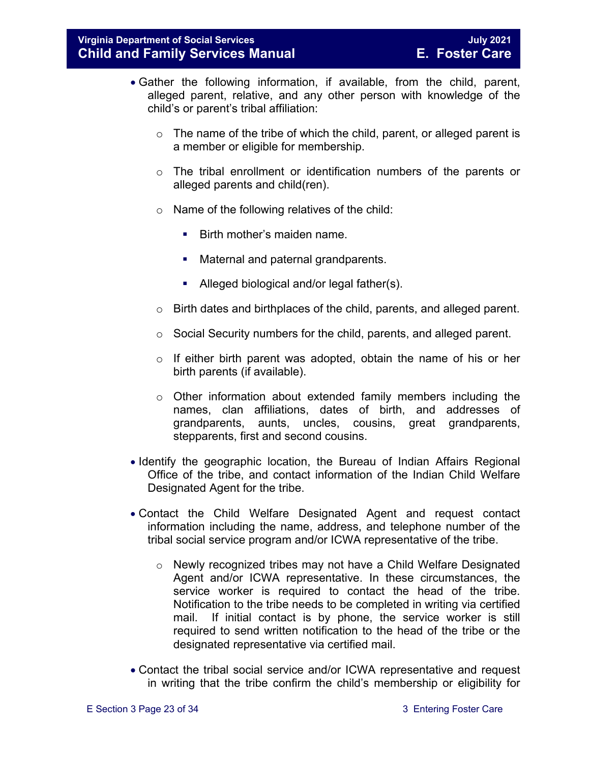- Gather the following information, if available, from the child, parent, alleged parent, relative, and any other person with knowledge of the child's or parent's tribal affiliation:
	- $\circ$  The name of the tribe of which the child, parent, or alleged parent is a member or eligible for membership.
	- o The tribal enrollment or identification numbers of the parents or alleged parents and child(ren).
	- $\circ$  Name of the following relatives of the child:
		- **Birth mother's maiden name.**
		- **Maternal and paternal grandparents.**
		- Alleged biological and/or legal father(s).
	- o Birth dates and birthplaces of the child, parents, and alleged parent.
	- o Social Security numbers for the child, parents, and alleged parent.
	- o If either birth parent was adopted, obtain the name of his or her birth parents (if available).
	- o Other information about extended family members including the names, clan affiliations, dates of birth, and addresses of grandparents, aunts, uncles, cousins, great grandparents, stepparents, first and second cousins.
- Identify the geographic location, the Bureau of Indian Affairs Regional Office of the tribe, and contact information of the Indian Child Welfare Designated Agent for the tribe.
- Contact the Child Welfare Designated Agent and request contact information including the name, address, and telephone number of the tribal social service program and/or ICWA representative of the tribe.
	- $\circ$  Newly recognized tribes may not have a Child Welfare Designated Agent and/or ICWA representative. In these circumstances, the service worker is required to contact the head of the tribe. Notification to the tribe needs to be completed in writing via certified mail. If initial contact is by phone, the service worker is still required to send written notification to the head of the tribe or the designated representative via certified mail.
- Contact the tribal social service and/or ICWA representative and request in writing that the tribe confirm the child's membership or eligibility for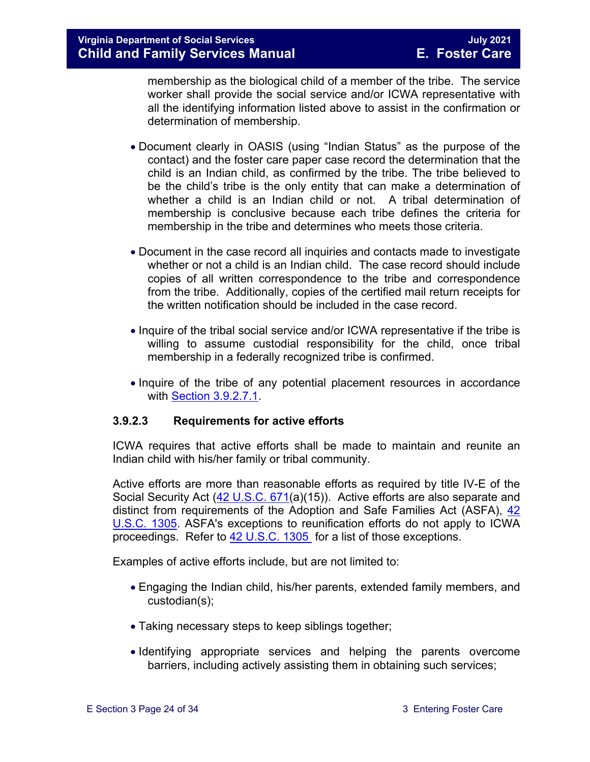membership as the biological child of a member of the tribe. The service worker shall provide the social service and/or ICWA representative with all the identifying information listed above to assist in the confirmation or determination of membership.

- Document clearly in OASIS (using "Indian Status" as the purpose of the contact) and the foster care paper case record the determination that the child is an Indian child, as confirmed by the tribe. The tribe believed to be the child's tribe is the only entity that can make a determination of whether a child is an Indian child or not. A tribal determination of membership is conclusive because each tribe defines the criteria for membership in the tribe and determines who meets those criteria.
- Document in the case record all inquiries and contacts made to investigate whether or not a child is an Indian child. The case record should include copies of all written correspondence to the tribe and correspondence from the tribe. Additionally, copies of the certified mail return receipts for the written notification should be included in the case record.
- Inquire of the tribal social service and/or ICWA representative if the tribe is willing to assume custodial responsibility for the child, once tribal membership in a federally recognized tribe is confirmed.
- Inquire of the tribe of any potential placement resources in accordance with [Section 3.9.2.7.1.](#page-28-0)

#### **3.9.2.3 Requirements for active efforts**

ICWA requires that active efforts shall be made to maintain and reunite an Indian child with his/her family or tribal community.

Active efforts are more than reasonable efforts as required by title IV-E of the Social Security Act [\(42 U.S.C. 671\(](http://api.fdsys.gov/link?collection=uscode&title=42&year=mostrecent§ion=671&type=usc&link-type=html)a)(15)). Active efforts are also separate and distinct from requirements of the Adoption and Safe Families Act (ASFA), [42](http://api.fdsys.gov/link?collection=uscode&title=42&year=mostrecent§ion=1305&type=usc&link-type=html)  [U.S.C. 1305.](http://api.fdsys.gov/link?collection=uscode&title=42&year=mostrecent§ion=1305&type=usc&link-type=html) ASFA's exceptions to reunification efforts do not apply to ICWA proceedings. Refer to [42 U.S.C. 1305](http://api.fdsys.gov/link?collection=uscode&title=42&year=mostrecent§ion=1305&type=usc&link-type=html) for a list of those exceptions.

Examples of active efforts include, but are not limited to:

- Engaging the Indian child, his/her parents, extended family members, and custodian(s);
- Taking necessary steps to keep siblings together;
- Identifying appropriate services and helping the parents overcome barriers, including actively assisting them in obtaining such services;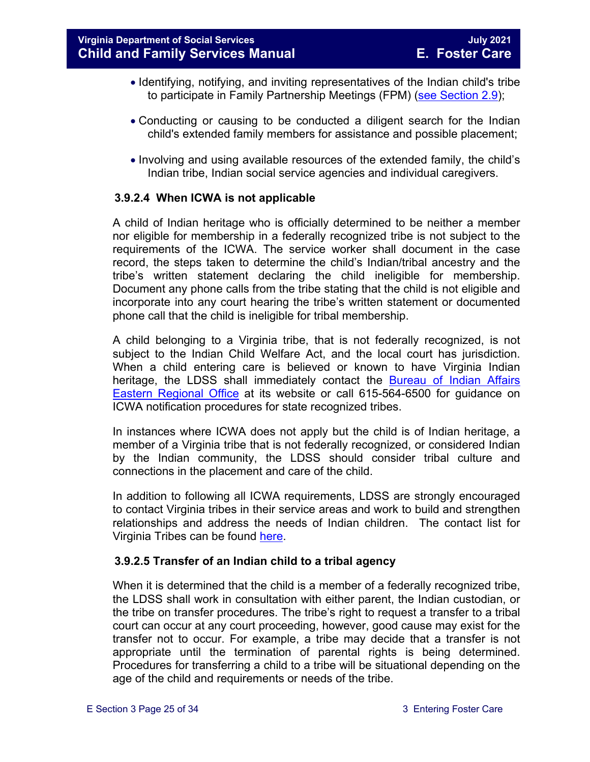- Identifying, notifying, and inviting representatives of the Indian child's tribe to participate in Family Partnership Meetings (FPM) [\(see Section 2.9\)](https://fusion.dss.virginia.gov/Portals/%5bdfs%5d/Files/DFS%20Manuals/Foster%20Care%20Manuals/Foster%20Care%20Manual%2007-2020/Final%20Foster%20Care%20Manual%2007-2020/section_2_engaging_the_child_family_and_significant_adults.pdf#page=19);
- Conducting or causing to be conducted a diligent search for the Indian child's extended family members for assistance and possible placement;
- Involving and using available resources of the extended family, the child's Indian tribe, Indian social service agencies and individual caregivers.

#### **3.9.2.4 When ICWA is not applicable**

A child of Indian heritage who is officially determined to be neither a member nor eligible for membership in a federally recognized tribe is not subject to the requirements of the ICWA. The service worker shall document in the case record, the steps taken to determine the child's Indian/tribal ancestry and the tribe's written statement declaring the child ineligible for membership. Document any phone calls from the tribe stating that the child is not eligible and incorporate into any court hearing the tribe's written statement or documented phone call that the child is ineligible for tribal membership.

A child belonging to a Virginia tribe, that is not federally recognized, is not subject to the Indian Child Welfare Act, and the local court has jurisdiction. When a child entering care is believed or known to have Virginia Indian heritage, the LDSS shall immediately contact the [Bureau of Indian Affairs](http://www.bia.gov/WhoWeAre/RegionalOffices/Eastern/index.htm)  [Eastern Regional Office](http://www.bia.gov/WhoWeAre/RegionalOffices/Eastern/index.htm) at its website or call 615-564-6500 for guidance on ICWA notification procedures for state recognized tribes.

In instances where ICWA does not apply but the child is of Indian heritage, a member of a Virginia tribe that is not federally recognized, or considered Indian by the Indian community, the LDSS should consider tribal culture and connections in the placement and care of the child.

In addition to following all ICWA requirements, LDSS are strongly encouraged to contact Virginia tribes in their service areas and work to build and strengthen relationships and address the needs of Indian children. The contact list for Virginia Tribes can be found [here.](https://www.commonwealth.virginia.gov/virginia-indians/state-recognized-tribes/)

#### **3.9.2.5 Transfer of an Indian child to a tribal agency**

When it is determined that the child is a member of a federally recognized tribe, the LDSS shall work in consultation with either parent, the Indian custodian, or the tribe on transfer procedures. The tribe's right to request a transfer to a tribal court can occur at any court proceeding, however, good cause may exist for the transfer not to occur. For example, a tribe may decide that a transfer is not appropriate until the termination of parental rights is being determined. Procedures for transferring a child to a tribe will be situational depending on the age of the child and requirements or needs of the tribe.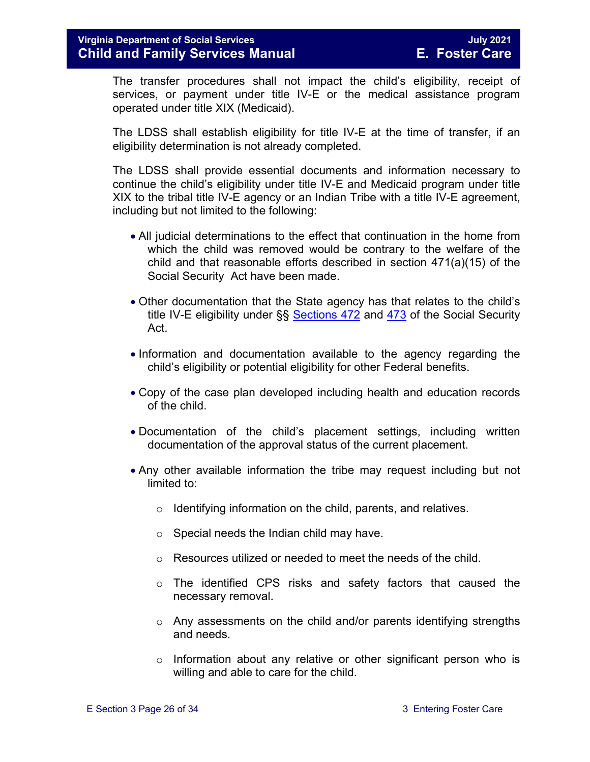The transfer procedures shall not impact the child's eligibility, receipt of services, or payment under title IV-E or the medical assistance program operated under title XIX (Medicaid).

The LDSS shall establish eligibility for title IV-E at the time of transfer, if an eligibility determination is not already completed.

The LDSS shall provide essential documents and information necessary to continue the child's eligibility under title IV-E and Medicaid program under title XIX to the tribal title IV-E agency or an Indian Tribe with a title IV-E agreement, including but not limited to the following:

- All judicial determinations to the effect that continuation in the home from which the child was removed would be contrary to the welfare of the child and that reasonable efforts described in section 471(a)(15) of the Social Security Act have been made.
- Other documentation that the State agency has that relates to the child's title IV-E eligibility under §§ [Sections 472](http://www.ssa.gov/OP_Home/ssact/title04/0472.htm) and [473](http://www.socialsecurity.gov/OP_Home/ssact/title04/0473.htm) of the Social Security Act.
- Information and documentation available to the agency regarding the child's eligibility or potential eligibility for other Federal benefits.
- Copy of the case plan developed including health and education records of the child.
- Documentation of the child's placement settings, including written documentation of the approval status of the current placement.
- Any other available information the tribe may request including but not limited to:
	- o Identifying information on the child, parents, and relatives.
	- $\circ$  Special needs the Indian child may have.
	- o Resources utilized or needed to meet the needs of the child.
	- o The identified CPS risks and safety factors that caused the necessary removal.
	- o Any assessments on the child and/or parents identifying strengths and needs.
	- $\circ$  Information about any relative or other significant person who is willing and able to care for the child.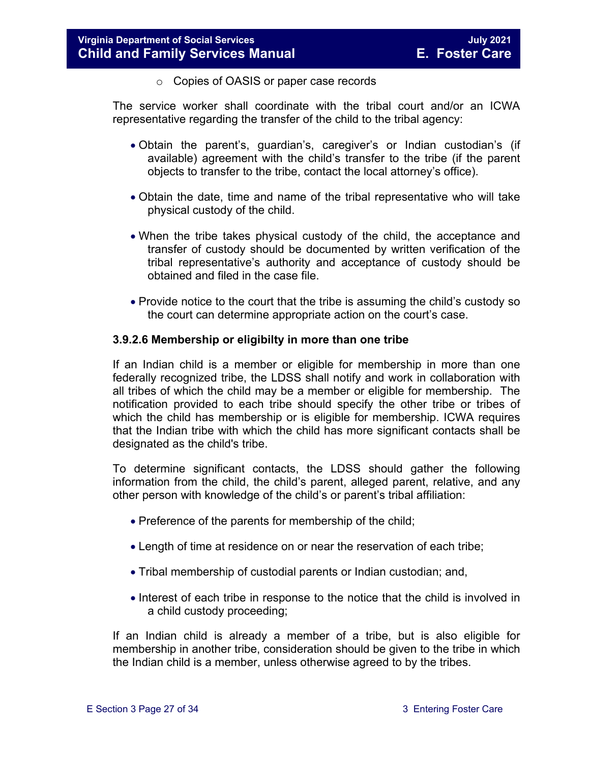o Copies of OASIS or paper case records

The service worker shall coordinate with the tribal court and/or an ICWA representative regarding the transfer of the child to the tribal agency:

- Obtain the parent's, guardian's, caregiver's or Indian custodian's (if available) agreement with the child's transfer to the tribe (if the parent objects to transfer to the tribe, contact the local attorney's office).
- Obtain the date, time and name of the tribal representative who will take physical custody of the child.
- When the tribe takes physical custody of the child, the acceptance and transfer of custody should be documented by written verification of the tribal representative's authority and acceptance of custody should be obtained and filed in the case file.
- Provide notice to the court that the tribe is assuming the child's custody so the court can determine appropriate action on the court's case.

#### **3.9.2.6 Membership or eligibilty in more than one tribe**

If an Indian child is a member or eligible for membership in more than one federally recognized tribe, the LDSS shall notify and work in collaboration with all tribes of which the child may be a member or eligible for membership. The notification provided to each tribe should specify the other tribe or tribes of which the child has membership or is eligible for membership. ICWA requires that the Indian tribe with which the child has more significant contacts shall be designated as the child's tribe.

To determine significant contacts, the LDSS should gather the following information from the child, the child's parent, alleged parent, relative, and any other person with knowledge of the child's or parent's tribal affiliation:

- Preference of the parents for membership of the child;
- Length of time at residence on or near the reservation of each tribe;
- Tribal membership of custodial parents or Indian custodian; and,
- Interest of each tribe in response to the notice that the child is involved in a child custody proceeding;

If an Indian child is already a member of a tribe, but is also eligible for membership in another tribe, consideration should be given to the tribe in which the Indian child is a member, unless otherwise agreed to by the tribes.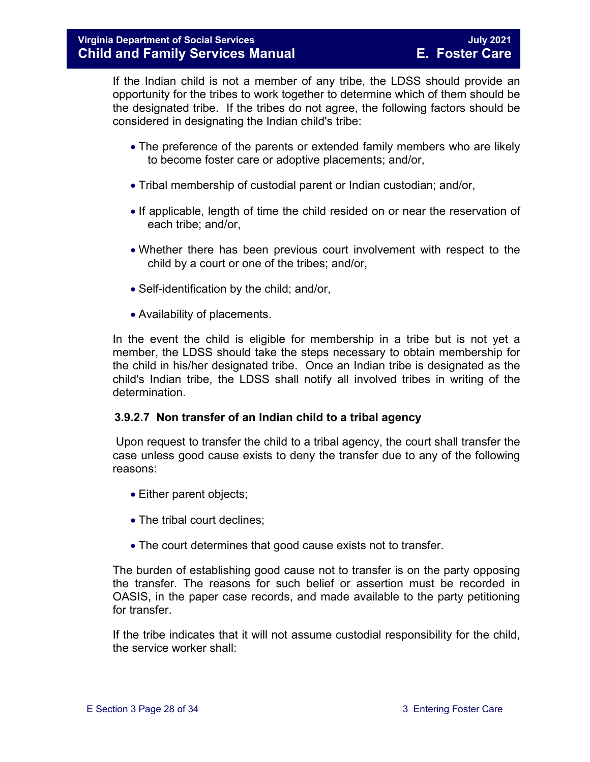If the Indian child is not a member of any tribe, the LDSS should provide an opportunity for the tribes to work together to determine which of them should be the designated tribe. If the tribes do not agree, the following factors should be considered in designating the Indian child's tribe:

- The preference of the parents or extended family members who are likely to become foster care or adoptive placements; and/or,
- Tribal membership of custodial parent or Indian custodian; and/or,
- If applicable, length of time the child resided on or near the reservation of each tribe; and/or,
- Whether there has been previous court involvement with respect to the child by a court or one of the tribes; and/or,
- Self-identification by the child; and/or,
- Availability of placements.

In the event the child is eligible for membership in a tribe but is not yet a member, the LDSS should take the steps necessary to obtain membership for the child in his/her designated tribe. Once an Indian tribe is designated as the child's Indian tribe, the LDSS shall notify all involved tribes in writing of the determination.

#### **3.9.2.7 Non transfer of an Indian child to a tribal agency**

Upon request to transfer the child to a tribal agency, the court shall transfer the case unless good cause exists to deny the transfer due to any of the following reasons:

- Either parent objects;
- The tribal court declines:
- The court determines that good cause exists not to transfer.

The burden of establishing good cause not to transfer is on the party opposing the transfer. The reasons for such belief or assertion must be recorded in OASIS, in the paper case records, and made available to the party petitioning for transfer.

If the tribe indicates that it will not assume custodial responsibility for the child, the service worker shall: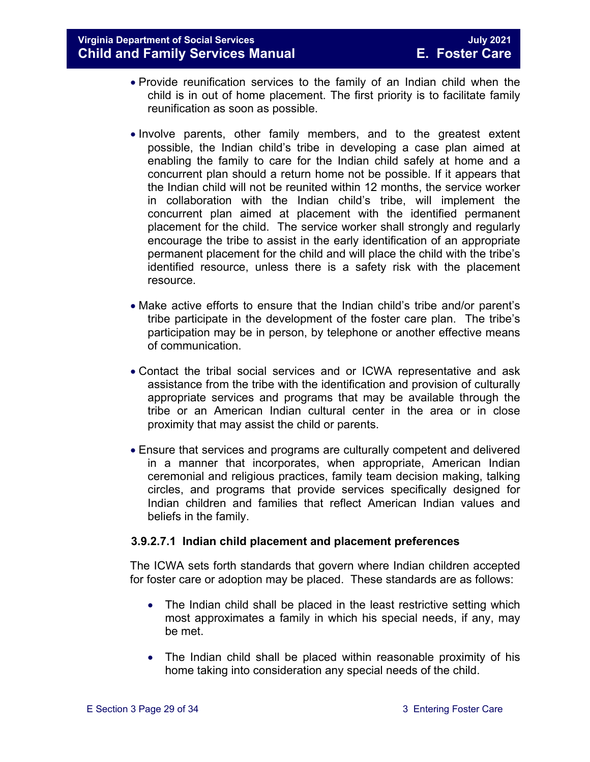- Provide reunification services to the family of an Indian child when the child is in out of home placement. The first priority is to facilitate family reunification as soon as possible.
- Involve parents, other family members, and to the greatest extent possible, the Indian child's tribe in developing a case plan aimed at enabling the family to care for the Indian child safely at home and a concurrent plan should a return home not be possible. If it appears that the Indian child will not be reunited within 12 months, the service worker in collaboration with the Indian child's tribe, will implement the concurrent plan aimed at placement with the identified permanent placement for the child. The service worker shall strongly and regularly encourage the tribe to assist in the early identification of an appropriate permanent placement for the child and will place the child with the tribe's identified resource, unless there is a safety risk with the placement resource.
- Make active efforts to ensure that the Indian child's tribe and/or parent's tribe participate in the development of the foster care plan. The tribe's participation may be in person, by telephone or another effective means of communication.
- Contact the tribal social services and or ICWA representative and ask assistance from the tribe with the identification and provision of culturally appropriate services and programs that may be available through the tribe or an American Indian cultural center in the area or in close proximity that may assist the child or parents.
- Ensure that services and programs are culturally competent and delivered in a manner that incorporates, when appropriate, American Indian ceremonial and religious practices, family team decision making, talking circles, and programs that provide services specifically designed for Indian children and families that reflect American Indian values and beliefs in the family.

#### <span id="page-28-0"></span>**3.9.2.7.1 Indian child placement and placement preferences**

The ICWA sets forth standards that govern where Indian children accepted for foster care or adoption may be placed. These standards are as follows:

- The Indian child shall be placed in the least restrictive setting which most approximates a family in which his special needs, if any, may be met.
- The Indian child shall be placed within reasonable proximity of his home taking into consideration any special needs of the child.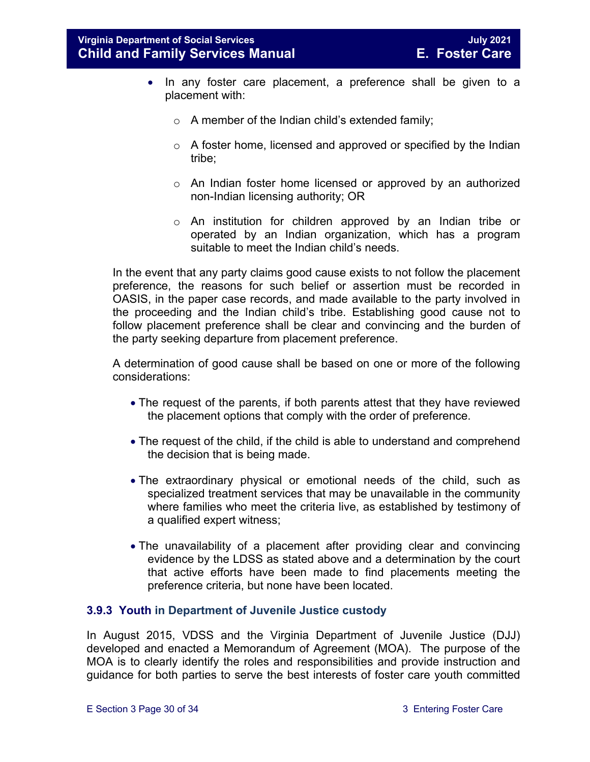- In any foster care placement, a preference shall be given to a placement with:
	- $\circ$  A member of the Indian child's extended family;
	- o A foster home, licensed and approved or specified by the Indian tribe;
	- o An Indian foster home licensed or approved by an authorized non-Indian licensing authority; OR
	- o An institution for children approved by an Indian tribe or operated by an Indian organization, which has a program suitable to meet the Indian child's needs.

In the event that any party claims good cause exists to not follow the placement preference, the reasons for such belief or assertion must be recorded in OASIS, in the paper case records, and made available to the party involved in the proceeding and the Indian child's tribe. Establishing good cause not to follow placement preference shall be clear and convincing and the burden of the party seeking departure from placement preference.

A determination of good cause shall be based on one or more of the following considerations:

- The request of the parents, if both parents attest that they have reviewed the placement options that comply with the order of preference.
- The request of the child, if the child is able to understand and comprehend the decision that is being made.
- The extraordinary physical or emotional needs of the child, such as specialized treatment services that may be unavailable in the community where families who meet the criteria live, as established by testimony of a qualified expert witness;
- The unavailability of a placement after providing clear and convincing evidence by the LDSS as stated above and a determination by the court that active efforts have been made to find placements meeting the preference criteria, but none have been located.

#### <span id="page-29-0"></span>**3.9.3 Youth in Department of Juvenile Justice custody**

In August 2015, VDSS and the Virginia Department of Juvenile Justice (DJJ) developed and enacted a Memorandum of Agreement (MOA). The purpose of the MOA is to clearly identify the roles and responsibilities and provide instruction and guidance for both parties to serve the best interests of foster care youth committed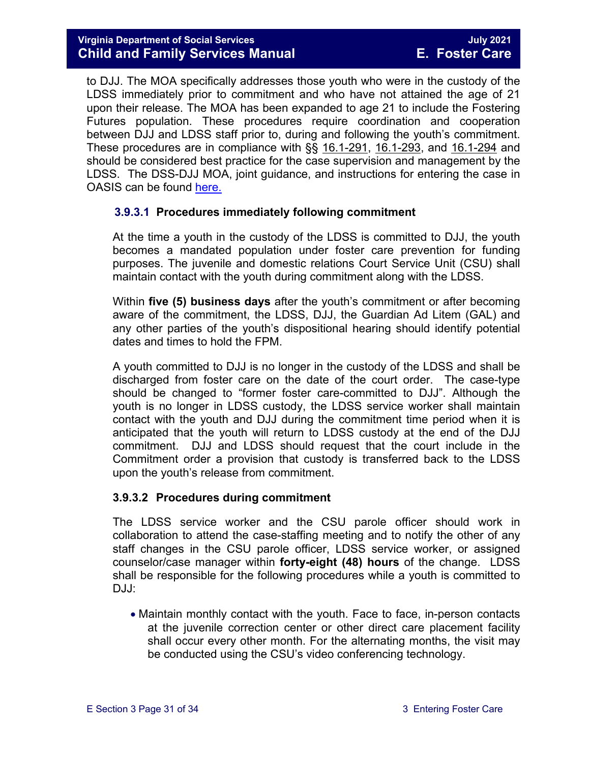to DJJ. The MOA specifically addresses those youth who were in the custody of the LDSS immediately prior to commitment and who have not attained the age of 21 upon their release. The MOA has been expanded to age 21 to include the Fostering Futures population. These procedures require coordination and cooperation between DJJ and LDSS staff prior to, during and following the youth's commitment. These procedures are in compliance with §§ [16.1-291,](http://leg1.state.va.us/cgi-bin/legp504.exe?000+cod+16.1-291) [16.1-293,](http://leg1.state.va.us/cgi-bin/legp504.exe?000+cod+16.1-293) and [16.1-294](http://leg1.state.va.us/cgi-bin/legp504.exe?000+cod+16.1-294) and should be considered best practice for the case supervision and management by the LDSS. The DSS-DJJ MOA, joint guidance, and instructions for entering the case in OASIS can be found [here.](https://fusion.dss.virginia.gov/dfs/DFS-Home/Foster-Care/Juvenile-Justice) 

#### **3.9.3.1 Procedures immediately following commitment**

At the time a youth in the custody of the LDSS is committed to DJJ, the youth becomes a mandated population under foster care prevention for funding purposes. The juvenile and domestic relations Court Service Unit (CSU) shall maintain contact with the youth during commitment along with the LDSS.

Within **five (5) business days** after the youth's commitment or after becoming aware of the commitment, the LDSS, DJJ, the Guardian Ad Litem (GAL) and any other parties of the youth's dispositional hearing should identify potential dates and times to hold the FPM.

A youth committed to DJJ is no longer in the custody of the LDSS and shall be discharged from foster care on the date of the court order. The case-type should be changed to "former foster care-committed to DJJ". Although the youth is no longer in LDSS custody, the LDSS service worker shall maintain contact with the youth and DJJ during the commitment time period when it is anticipated that the youth will return to LDSS custody at the end of the DJJ commitment. DJJ and LDSS should request that the court include in the Commitment order a provision that custody is transferred back to the LDSS upon the youth's release from commitment.

#### **3.9.3.2 Procedures during commitment**

The LDSS service worker and the CSU parole officer should work in collaboration to attend the case-staffing meeting and to notify the other of any staff changes in the CSU parole officer, LDSS service worker, or assigned counselor/case manager within **forty-eight (48) hours** of the change. LDSS shall be responsible for the following procedures while a youth is committed to DJJ:

• Maintain monthly contact with the youth. Face to face, in-person contacts at the juvenile correction center or other direct care placement facility shall occur every other month. For the alternating months, the visit may be conducted using the CSU's video conferencing technology.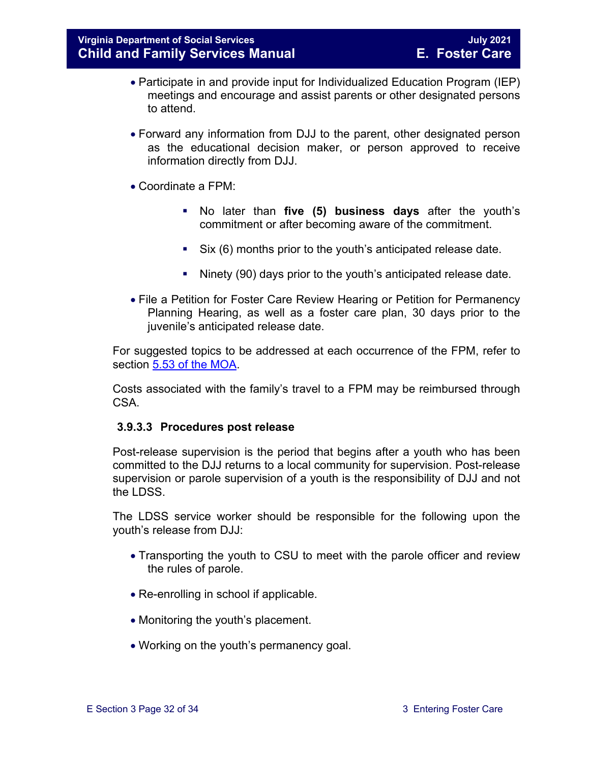- Participate in and provide input for Individualized Education Program (IEP) meetings and encourage and assist parents or other designated persons to attend.
- Forward any information from DJJ to the parent, other designated person as the educational decision maker, or person approved to receive information directly from DJJ.
- Coordinate a FPM:
	- No later than **five (5) business days** after the youth's commitment or after becoming aware of the commitment.
	- Six (6) months prior to the youth's anticipated release date.
	- Ninety (90) days prior to the youth's anticipated release date.
- File a Petition for Foster Care Review Hearing or Petition for Permanency Planning Hearing, as well as a foster care plan, 30 days prior to the juvenile's anticipated release date.

For suggested topics to be addressed at each occurrence of the FPM, refer to section [5.53 of the](https://fusion.dss.virginia.gov/Portals/%5Bdfs%5D/Files/Foster%20Care/Joint%20Guidance/Signed_MOA_for_VA_DSS__DJJ.PDF#page=9) MOA.

Costs associated with the family's travel to a FPM may be reimbursed through CSA.

#### **3.9.3.3 Procedures post release**

Post-release supervision is the period that begins after a youth who has been committed to the DJJ returns to a local community for supervision. Post-release supervision or parole supervision of a youth is the responsibility of DJJ and not the LDSS.

The LDSS service worker should be responsible for the following upon the youth's release from DJJ:

- Transporting the youth to CSU to meet with the parole officer and review the rules of parole.
- Re-enrolling in school if applicable.
- Monitoring the youth's placement.
- Working on the youth's permanency goal.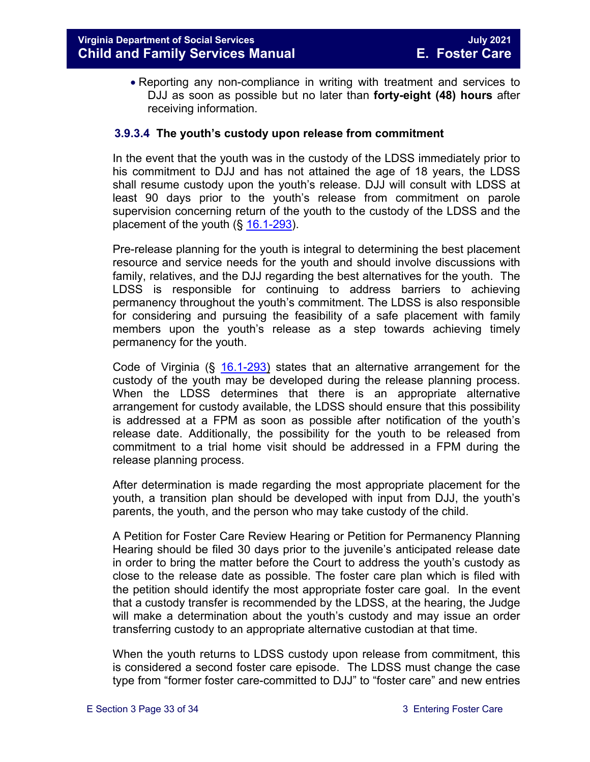• Reporting any non-compliance in writing with treatment and services to DJJ as soon as possible but no later than **forty-eight (48) hours** after receiving information.

#### **3.9.3.4 The youth's custody upon release from commitment**

In the event that the youth was in the custody of the LDSS immediately prior to his commitment to DJJ and has not attained the age of 18 years, the LDSS shall resume custody upon the youth's release. DJJ will consult with LDSS at least 90 days prior to the youth's release from commitment on parole supervision concerning return of the youth to the custody of the LDSS and the placement of the youth  $(\S 16.1-293)$  $(\S 16.1-293)$ .

Pre-release planning for the youth is integral to determining the best placement resource and service needs for the youth and should involve discussions with family, relatives, and the DJJ regarding the best alternatives for the youth. The LDSS is responsible for continuing to address barriers to achieving permanency throughout the youth's commitment. The LDSS is also responsible for considering and pursuing the feasibility of a safe placement with family members upon the youth's release as a step towards achieving timely permanency for the youth.

Code of Virginia (§ [16.1-293\)](https://law.lis.virginia.gov/vacode/16.1-293/) states that an alternative arrangement for the custody of the youth may be developed during the release planning process. When the LDSS determines that there is an appropriate alternative arrangement for custody available, the LDSS should ensure that this possibility is addressed at a FPM as soon as possible after notification of the youth's release date. Additionally, the possibility for the youth to be released from commitment to a trial home visit should be addressed in a FPM during the release planning process.

After determination is made regarding the most appropriate placement for the youth, a transition plan should be developed with input from DJJ, the youth's parents, the youth, and the person who may take custody of the child.

A Petition for Foster Care Review Hearing or Petition for Permanency Planning Hearing should be filed 30 days prior to the juvenile's anticipated release date in order to bring the matter before the Court to address the youth's custody as close to the release date as possible. The foster care plan which is filed with the petition should identify the most appropriate foster care goal. In the event that a custody transfer is recommended by the LDSS, at the hearing, the Judge will make a determination about the youth's custody and may issue an order transferring custody to an appropriate alternative custodian at that time.

When the youth returns to LDSS custody upon release from commitment, this is considered a second foster care episode. The LDSS must change the case type from "former foster care-committed to DJJ" to "foster care" and new entries